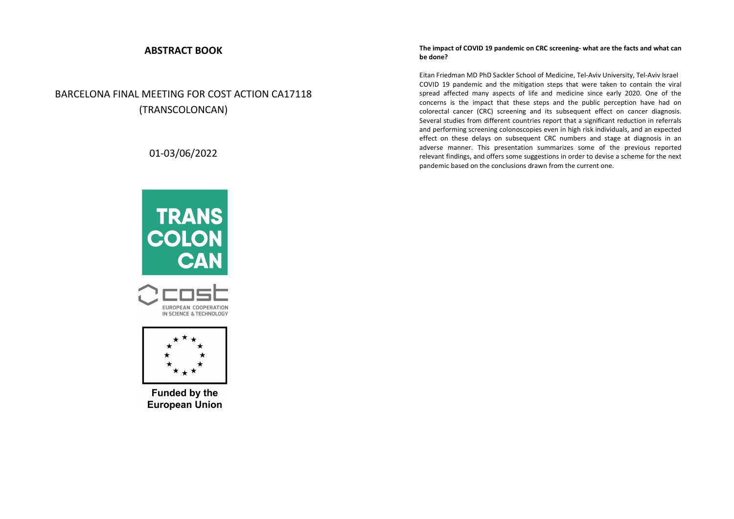## **ABSTRACT BOOK**

# BARCELONA FINAL MEETING FOR COST ACTION CA17118 (TRANSCOLONCAN)

## 01-03/06/2022







**Funded by the European Union** 

## **The impact of COVID 19 pandemic on CRC screening- what are the facts and what can be done?**

Eitan Friedman MD PhD Sackler School of Medicine, Tel-Aviv University, Tel-Aviv Israel COVID 19 pandemic and the mitigation steps that were taken to contain the viral spread affected many aspects of life and medicine since early 2020. One of the concerns is the impact that these steps and the public perception have had on colorectal cancer (CRC) screening and its subsequent effect on cancer diagnosis. Several studies from different countries report that a significant reduction in referrals and performing screening colonoscopies even in high risk individuals, and an expected effect on these delays on subsequent CRC numbers and stage at diagnosis in an adverse manner. This presentation summarizes some of the previous reported relevant findings, and offers some suggestions in order to devise a scheme for the next pandemic based on the conclusions drawn from the current one.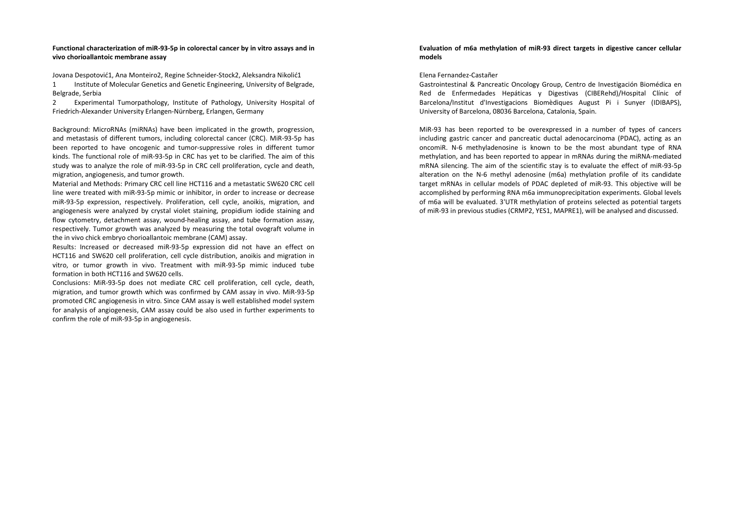## **Functional characterization of miR-93-5p in colorectal cancer by in vitro assays and in vivo chorioallantoic membrane assay**

Jovana Despotović1, Ana Monteiro2, Regine Schneider-Stock2, Aleksandra Nikolić1 1 Institute of Molecular Genetics and Genetic Engineering, University of Belgrade, Belgrade, Serbia

2 Experimental Tumorpathology, Institute of Pathology, University Hospital of Friedrich-Alexander University Erlangen-Nürnberg, Erlangen, Germany

Background: MicroRNAs (miRNAs) have been implicated in the growth, progression, and metastasis of different tumors, including colorectal cancer (CRC). MiR-93-5p has been reported to have oncogenic and tumor-suppressive roles in different tumor kinds. The functional role of miR-93-5p in CRC has yet to be clarified. The aim of this study was to analyze the role of miR-93-5p in CRC cell proliferation, cycle and death, migration, angiogenesis, and tumor growth.

Material and Methods: Primary CRC cell line HCT116 and a metastatic SW620 CRC cell line were treated with miR-93-5p mimic or inhibitor, in order to increase or decrease miR-93-5p expression, respectively. Proliferation, cell cycle, anoikis, migration, and angiogenesis were analyzed by crystal violet staining, propidium iodide staining and flow cytometry, detachment assay, wound-healing assay, and tube formation assay, respectively. Tumor growth was analyzed by measuring the total ovograft volume in the in vivo chick embryo chorioallantoic membrane (CAM) assay.

 Results: Increased or decreased miR-93-5p expression did not have an effect on HCT116 and SW620 cell proliferation, cell cycle distribution, anoikis and migration in vitro, or tumor growth in vivo. Treatment with miR-93-5p mimic induced tube formation in both HCT116 and SW620 cells.

Conclusions: MiR-93-5p does not mediate CRC cell proliferation, cell cycle, death, migration, and tumor growth which was confirmed by CAM assay in vivo. MiR-93-5p promoted CRC angiogenesis in vitro. Since CAM assay is well established model system for analysis of angiogenesis, CAM assay could be also used in further experiments to confirm the role of miR-93-5p in angiogenesis.

## **Evaluation of m6a methylation of miR-93 direct targets in digestive cancer cellular models**

## Elena Fernandez-Castañer

Gastrointestinal & Pancreatic Oncology Group, Centro de Investigación Biomédica en Red de Enfermedades Hepáticas y Digestivas (CIBERehd)/Hospital Clínic of Barcelona/Institut d'Investigacions Biomèdiques August Pi i Sunyer (IDIBAPS), University of Barcelona, 08036 Barcelona, Catalonia, Spain.

MiR-93 has been reported to be overexpressed in a number of types of cancers including gastric cancer and pancreatic ductal adenocarcinoma (PDAC), acting as an oncomiR. N-6 methyladenosine is known to be the most abundant type of RNA methylation, and has been reported to appear in mRNAs during the miRNA-mediated mRNA silencing. The aim of the scientific stay is to evaluate the effect of miR-93-5p alteration on the N-6 methyl adenosine (m6a) methylation profile of its candidate target mRNAs in cellular models of PDAC depleted of miR-93. This objective will be accomplished by performing RNA m6a immunoprecipitation experiments. Global levels of m6a will be evaluated. 3'UTR methylation of proteins selected as potential targets of miR-93 in previous studies (CRMP2, YES1, MAPRE1), will be analysed and discussed.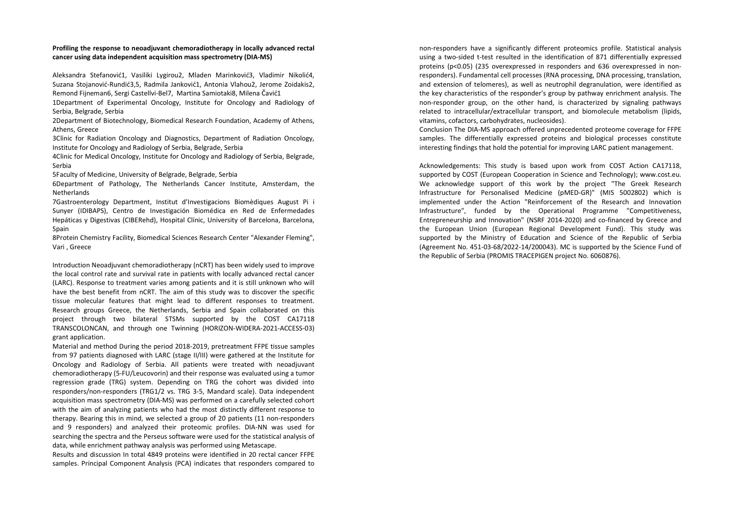## **Profiling the response to neoadjuvant chemoradiotherapy in locally advanced rectal cancer using data independent acquisition mass spectrometry (DIA-MS)**

Aleksandra Stefanović1, Vasiliki Lygirou2, Mladen Marinković3, Vladimir Nikolić4, Suzana Stojanović-Rundić3,5, Radmila Janković1, Antonia Vlahou2, Jerome Zoidakis2, Remond Fijneman6, Sergi Castellvi-Bel7, Martina Samiotaki8, Milena Čavić1

1Department of Experimental Oncology, Institute for Oncology and Radiology of Serbia, Belgrade, Serbia

2Department of Biotechnology, Biomedical Research Foundation, Academy of Athens, Athens, Greece

3Clinic for Radiation Oncology and Diagnostics, Department of Radiation Oncology, Institute for Oncology and Radiology of Serbia, Belgrade, Serbia

 4Clinic for Medical Oncology, Institute for Oncology and Radiology of Serbia, Belgrade, Serbia

5Faculty of Medicine, University of Belgrade, Belgrade, Serbia

6Department of Pathology, The Netherlands Cancer Institute, Amsterdam, the Netherlands

 7Gastroenterology Department, Institut d'Investigacions Biomèdiques August Pi i Sunyer (IDIBAPS), Centro de Investigación Biomédica en Red de Enfermedades Hepáticas y Digestivas (CIBERehd), Hospital Clínic, University of Barcelona, Barcelona, Spain

8Protein Chemistry Facility, Biomedical Sciences Research Center "Alexander Fleming", Vari , Greece

Introduction Neoadjuvant chemoradiotherapy (nCRT) has been widely used to improve the local control rate and survival rate in patients with locally advanced rectal cancer (LARC). Response to treatment varies among patients and it is still unknown who will have the best benefit from nCRT. The aim of this study was to discover the specific tissue molecular features that might lead to different responses to treatment. Research groups Greece, the Netherlands, Serbia and Spain collaborated on this project through two bilateral STSMs supported by the COST CA17118 TRANSCOLONCAN, and through one Twinning (HORIZON-WIDERA-2021-ACCESS-03) grant application.

Material and method During the period 2018-2019, pretreatment FFPE tissue samples from 97 patients diagnosed with LARC (stage II/III) were gathered at the Institute for Oncology and Radiology of Serbia. All patients were treated with neoadjuvant chemoradiotherapy (5-FU/Leucovorin) and their response was evaluated using a tumor regression grade (TRG) system. Depending on TRG the cohort was divided into responders/non-responders (TRG1/2 vs. TRG 3-5, Mandard scale). Data independent acquisition mass spectrometry (DIA-MS) was performed on a carefully selected cohort with the aim of analyzing patients who had the most distinctly different response to therapy. Bearing this in mind, we selected a group of 20 patients (11 non-responders and 9 responders) and analyzed their proteomic profiles. DIA-NN was used for searching the spectra and the Perseus software were used for the statistical analysis of data, while enrichment pathway analysis was performed using Metascape.

 Results and discussion In total 4849 proteins were identified in 20 rectal cancer FFPE samples. Principal Component Analysis (PCA) indicates that responders compared to non-responders have a significantly different proteomics profile. Statistical analysis using a two-sided t-test resulted in the identification of 871 differentially expressed proteins (p<0.05) (235 overexpressed in responders and 636 overexpressed in nonresponders). Fundamental cell processes (RNA processing, DNA processing, translation, and extension of telomeres), as well as neutrophil degranulation, were identified as the key characteristics of the responder's group by pathway enrichment analysis. The non-responder group, on the other hand, is characterized by signaling pathways related to intracellular/extracellular transport, and biomolecule metabolism (lipids, vitamins, cofactors, carbohydrates, nucleosides).

Conclusion The DIA-MS approach offered unprecedented proteome coverage for FFPE samples. The differentially expressed proteins and biological processes constitute interesting findings that hold the potential for improving LARC patient management.

Acknowledgements: This study is based upon work from COST Action CA17118, supported by COST (European Cooperation in Science and Technology); www.cost.eu. We acknowledge support of this work by the project "The Greek Research Infrastructure for Personalised Medicine (pMED-GR)" (MIS 5002802) which is implemented under the Action "Reinforcement of the Research and Innovation Infrastructure", funded by the Operational Programme "Competitiveness, Entrepreneurship and Innovation" (NSRF 2014-2020) and co-financed by Greece and the European Union (European Regional Development Fund). This study was supported by the Ministry of Education and Science of the Republic of Serbia (Agreement No. 451-03-68/2022-14/200043). MC is supported by the Science Fund of the Republic of Serbia (PROMIS TRACEPIGEN project No. 6060876).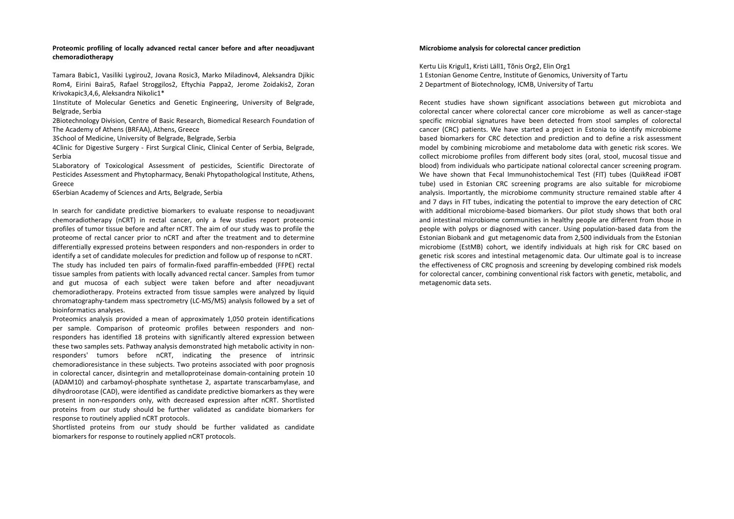## **Proteomic profiling of locally advanced rectal cancer before and after neoadjuvant chemoradiotherapy**

Tamara Babic1, Vasiliki Lygirou2, Jovana Rosic3, Marko Miladinov4, Aleksandra Djikic Rom4, Eirini Baira5, Rafael Stroggilos2, Eftychia Pappa2, Jerome Zoidakis2, Zoran Krivokapic3,4,6, Aleksandra Nikolic1\*

1Institute of Molecular Genetics and Genetic Engineering, University of Belgrade, Belgrade, Serbia

 2Biotechnology Division, Centre of Basic Research, Biomedical Research Foundation of The Academy of Athens (BRFAA), Athens, Greece

3School of Medicine, University of Belgrade, Belgrade, Serbia

 4Clinic for Digestive Surgery - First Surgical Clinic, Clinical Center of Serbia, Belgrade, Serbia

 5Laboratory of Toxicological Assessment of pesticides, Scientific Directorate of Pesticides Assessment and Phytopharmacy, Benaki Phytopathological Institute, Athens, Greece

6Serbian Academy of Sciences and Arts, Belgrade, Serbia

In search for candidate predictive biomarkers to evaluate response to neoadjuvant chemoradiotherapy (nCRT) in rectal cancer, only a few studies report proteomic profiles of tumor tissue before and after nCRT. The aim of our study was to profile the proteome of rectal cancer prior to nCRT and after the treatment and to determine differentially expressed proteins between responders and non-responders in order to identify a set of candidate molecules for prediction and follow up of response to nCRT. The study has included ten pairs of formalin-fixed paraffin-embedded (FFPE) rectal tissue samples from patients with locally advanced rectal cancer. Samples from tumor and gut mucosa of each subject were taken before and after neoadjuvant chemoradiotherapy. Proteins extracted from tissue samples were analyzed by liquid chromatography-tandem mass spectrometry (LC-MS/MS) analysis followed by a set of bioinformatics analyses.

Proteomics analysis provided a mean of approximately 1,050 protein identifications per sample. Comparison of proteomic profiles between responders and nonresponders has identified 18 proteins with significantly altered expression between these two samples sets. Pathway analysis demonstrated high metabolic activity in nonresponders' tumors before nCRT, indicating the presence of intrinsic chemoradioresistance in these subjects. Two proteins associated with poor prognosis in colorectal cancer, disintegrin and metalloproteinase domain-containing protein 10 (ADAM10) and carbamoyl-phosphate synthetase 2, aspartate transcarbamylase, and dihydroorotase (CAD), were identified as candidate predictive biomarkers as they were present in non-responders only, with decreased expression after nCRT. Shortlisted proteins from our study should be further validated as candidate biomarkers for response to routinely applied nCRT protocols.

Shortlisted proteins from our study should be further validated as candidate biomarkers for response to routinely applied nCRT protocols.

## **Microbiome analysis for colorectal cancer prediction**

Kertu Liis Krigul1, Kristi Läll1, Tõnis Org2, Elin Org1 1 Estonian Genome Centre, Institute of Genomics, University of Tartu 2 Department of Biotechnology, ICMB, University of Tartu

Recent studies have shown significant associations between gut microbiota and colorectal cancer where colorectal cancer core microbiome as well as cancer-stage specific microbial signatures have been detected from stool samples of colorectal cancer (CRC) patients. We have started a project in Estonia to identify microbiome based biomarkers for CRC detection and prediction and to define a risk assessment model by combining microbiome and metabolome data with genetic risk scores. We collect microbiome profiles from different body sites (oral, stool, mucosal tissue and blood) from individuals who participate national colorectal cancer screening program. We have shown that Fecal Immunohistochemical Test (FIT) tubes (QuikRead iFOBT tube) used in Estonian CRC screening programs are also suitable for microbiome analysis. Importantly, the microbiome community structure remained stable after 4 and 7 days in FIT tubes, indicating the potential to improve the eary detection of CRC with additional microbiome-based biomarkers. Our pilot study shows that both oral and intestinal microbiome communities in healthy people are different from those in people with polyps or diagnosed with cancer. Using population-based data from the Estonian Biobank and gut metagenomic data from 2,500 individuals from the Estonian microbiome (EstMB) cohort, we identify individuals at high risk for CRC based on genetic risk scores and intestinal metagenomic data. Our ultimate goal is to increase the effectiveness of CRC prognosis and screening by developing combined risk models for colorectal cancer, combining conventional risk factors with genetic, metabolic, and metagenomic data sets.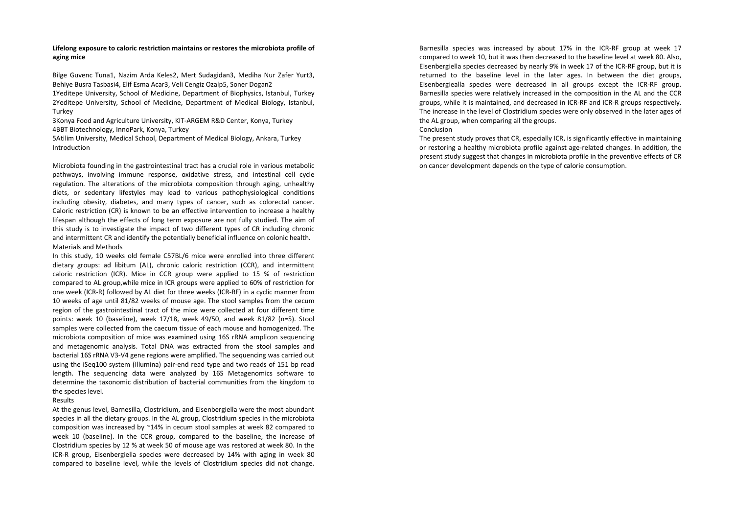## **Lifelong exposure to caloric restriction maintains or restores the microbiota profile of aging mice**

Bilge Guvenc Tuna1, Nazim Arda Keles2, Mert Sudagidan3, Mediha Nur Zafer Yurt3, Behiye Busra Tasbasi4, Elif Esma Acar3, Veli Cengiz Ozalp5, Soner Dogan2 1Yeditepe University, School of Medicine, Department of Biophysics, Istanbul, Turkey 2Yeditepe University, School of Medicine, Department of Medical Biology, Istanbul, Turkey

3Konya Food and Agriculture University, KIT-ARGEM R&D Center, Konya, Turkey 4BBT Biotechnology, InnoPark, Konya, Turkey

5Atilim University, Medical School, Department of Medical Biology, Ankara, Turkey Introduction

Microbiota founding in the gastrointestinal tract has a crucial role in various metabolic pathways, involving immune response, oxidative stress, and intestinal cell cycle regulation. The alterations of the microbiota composition through aging, unhealthy diets, or sedentary lifestyles may lead to various pathophysiological conditions including obesity, diabetes, and many types of cancer, such as colorectal cancer. Caloric restriction (CR) is known to be an effective intervention to increase a healthy lifespan although the effects of long term exposure are not fully studied. The aim of this study is to investigate the impact of two different types of CR including chronic and intermittent CR and identify the potentially beneficial influence on colonic health. Materials and Methods

In this study, 10 weeks old female C57BL/6 mice were enrolled into three different dietary groups: ad libitum (AL), chronic caloric restriction (CCR), and intermittent caloric restriction (ICR). Mice in CCR group were applied to 15 % of restriction compared to AL group,while mice in ICR groups were applied to 60% of restriction for one week (ICR-R) followed by AL diet for three weeks (ICR-RF) in a cyclic manner from 10 weeks of age until 81/82 weeks of mouse age. The stool samples from the cecum region of the gastrointestinal tract of the mice were collected at four different time points: week 10 (baseline), week 17/18, week 49/50, and week 81/82 (n=5). Stool samples were collected from the caecum tissue of each mouse and homogenized. The microbiota composition of mice was examined using 16S rRNA amplicon sequencing and metagenomic analysis. Total DNA was extracted from the stool samples and bacterial 16S rRNA V3-V4 gene regions were amplified. The sequencing was carried out using the iSeq100 system (Illumina) pair-end read type and two reads of 151 bp read length. The sequencing data were analyzed by 16S Metagenomics software to determine the taxonomic distribution of bacterial communities from the kingdom to the species level.

Results

 At the genus level, Barnesilla, Clostridium, and Eisenbergiella were the most abundant species in all the dietary groups. In the AL group, Clostridium species in the microbiota composition was increased by ~14% in cecum stool samples at week 82 compared to week 10 (baseline). In the CCR group, compared to the baseline, the increase of Clostridium species by 12 % at week 50 of mouse age was restored at week 80. In the ICR-R group, Eisenbergiella species were decreased by 14% with aging in week 80 compared to baseline level, while the levels of Clostridium species did not change. Barnesilla species was increased by about 17% in the ICR-RF group at week 17 compared to week 10, but it was then decreased to the baseline level at week 80. Also, Eisenbergiella species decreased by nearly 9% in week 17 of the ICR-RF group, but it is returned to the baseline level in the later ages. In between the diet groups, Eisenbergiealla species were decreased in all groups except the ICR-RF group. Barnesilla species were relatively increased in the composition in the AL and the CCR groups, while it is maintained, and decreased in ICR-RF and ICR-R groups respectively. The increase in the level of Clostridium species were only observed in the later ages of the AL group, when comparing all the groups.

## Conclusion

The present study proves that CR, especially ICR, is significantly effective in maintaining or restoring a healthy microbiota profile against age-related changes. In addition, the present study suggest that changes in microbiota profile in the preventive effects of CR on cancer development depends on the type of calorie consumption.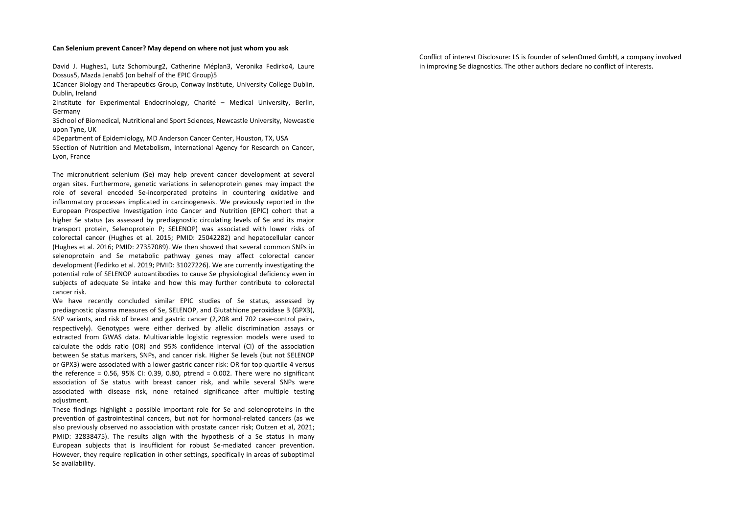#### **Can Selenium prevent Cancer? May depend on where not just whom you ask**

David J. Hughes1, Lutz Schomburg2, Catherine Méplan3, Veronika Fedirko4, Laure Dossus5, Mazda Jenab5 (on behalf of the EPIC Group)5

1Cancer Biology and Therapeutics Group, Conway Institute, University College Dublin, Dublin, Ireland

2Institute for Experimental Endocrinology, Charité – Medical University, Berlin, Germany

3School of Biomedical, Nutritional and Sport Sciences, Newcastle University, Newcastle upon Tyne, UK

4Department of Epidemiology, MD Anderson Cancer Center, Houston, TX, USA

 5Section of Nutrition and Metabolism, International Agency for Research on Cancer, Lyon, France

The micronutrient selenium (Se) may help prevent cancer development at several organ sites. Furthermore, genetic variations in selenoprotein genes may impact the role of several encoded Se-incorporated proteins in countering oxidative and inflammatory processes implicated in carcinogenesis. We previously reported in the European Prospective Investigation into Cancer and Nutrition (EPIC) cohort that a higher Se status (as assessed by prediagnostic circulating levels of Se and its major transport protein, Selenoprotein P; SELENOP) was associated with lower risks of colorectal cancer (Hughes et al. 2015; PMID: 25042282) and hepatocellular cancer (Hughes et al. 2016; PMID: 27357089). We then showed that several common SNPs in selenoprotein and Se metabolic pathway genes may affect colorectal cancer development (Fedirko et al. 2019; PMID: 31027226). We are currently investigating the potential role of SELENOP autoantibodies to cause Se physiological deficiency even in subjects of adequate Se intake and how this may further contribute to colorectal cancer risk.

 We have recently concluded similar EPIC studies of Se status, assessed by prediagnostic plasma measures of Se, SELENOP, and Glutathione peroxidase 3 (GPX3), SNP variants, and risk of breast and gastric cancer (2,208 and 702 case-control pairs, respectively). Genotypes were either derived by allelic discrimination assays or extracted from GWAS data. Multivariable logistic regression models were used to calculate the odds ratio (OR) and 95% confidence interval (CI) of the association between Se status markers, SNPs, and cancer risk. Higher Se levels (but not SELENOP or GPX3) were associated with a lower gastric cancer risk: OR for top quartile 4 versus the reference =  $0.56$ ,  $95\%$  CI:  $0.39$ ,  $0.80$ , ptrend =  $0.002$ . There were no significant association of Se status with breast cancer risk, and while several SNPs were associated with disease risk, none retained significance after multiple testing adjustment.

 These findings highlight a possible important role for Se and selenoproteins in the prevention of gastrointestinal cancers, but not for hormonal-related cancers (as we also previously observed no association with prostate cancer risk; Outzen et al, 2021; PMID: 32838475). The results align with the hypothesis of a Se status in many European subjects that is insufficient for robust Se-mediated cancer prevention. However, they require replication in other settings, specifically in areas of suboptimal Se availability.

Conflict of interest Disclosure: LS is founder of selenOmed GmbH, a company involved in improving Se diagnostics. The other authors declare no conflict of interests.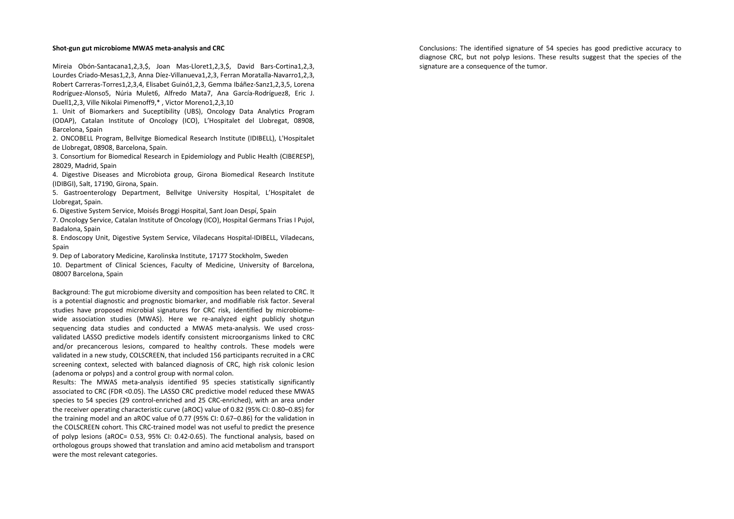## **Shot-gun gut microbiome MWAS meta-analysis and CRC**

Mireia Obón-Santacana1,2,3,\$, Joan Mas-Lloret1,2,3,\$, David Bars-Cortina1,2,3, Lourdes Criado-Mesas1,2,3, Anna Díez-Villanueva1,2,3, Ferran Moratalla-Navarro1,2,3, Robert Carreras-Torres1,2,3,4, Elisabet Guinó1,2,3, Gemma Ibáñez-Sanz1,2,3,5, Lorena Rodríguez-Alonso5, Núria Mulet6, Alfredo Mata7, Ana García-Rodríguez8, Eric J. Duell1,2,3, Ville Nikolai Pimenoff9,\* , Victor Moreno1,2,3,10

1. Unit of Biomarkers and Suceptibility (UBS), Oncology Data Analytics Program (ODAP), Catalan Institute of Oncology (ICO), L'Hospitalet del Llobregat, 08908, Barcelona, Spain

2. ONCOBELL Program, Bellvitge Biomedical Research Institute (IDIBELL), L'Hospitalet de Llobregat, 08908, Barcelona, Spain.

 3. Consortium for Biomedical Research in Epidemiology and Public Health (CIBERESP), 28029, Madrid, Spain

4. Digestive Diseases and Microbiota group, Girona Biomedical Research Institute (IDIBGI), Salt, 17190, Girona, Spain.

5. Gastroenterology Department, Bellvitge University Hospital, L'Hospitalet de Llobregat, Spain.

6. Digestive System Service, Moisés Broggi Hospital, Sant Joan Despí, Spain

 7. Oncology Service, Catalan Institute of Oncology (ICO), Hospital Germans Trias I Pujol, Badalona, Spain

8. Endoscopy Unit, Digestive System Service, Viladecans Hospital-IDIBELL, Viladecans, Spain

9. Dep of Laboratory Medicine, Karolinska Institute, 17177 Stockholm, Sweden

10. Department of Clinical Sciences, Faculty of Medicine, University of Barcelona, 08007 Barcelona, Spain

Background: The gut microbiome diversity and composition has been related to CRC. It is a potential diagnostic and prognostic biomarker, and modifiable risk factor. Several studies have proposed microbial signatures for CRC risk, identified by microbiomewide association studies (MWAS). Here we re-analyzed eight publicly shotgun sequencing data studies and conducted a MWAS meta-analysis. We used crossvalidated LASSO predictive models identify consistent microorganisms linked to CRC and/or precancerous lesions, compared to healthy controls. These models were validated in a new study, COLSCREEN, that included 156 participants recruited in a CRC screening context, selected with balanced diagnosis of CRC, high risk colonic lesion (adenoma or polyps) and a control group with normal colon.

Results: The MWAS meta-analysis identified 95 species statistically significantly associated to CRC (FDR <0.05). The LASSO CRC predictive model reduced these MWAS species to 54 species (29 control-enriched and 25 CRC-enriched), with an area under the receiver operating characteristic curve (aROC) value of 0.82 (95% CI: 0.80–0.85) for the training model and an aROC value of 0.77 (95% CI: 0.67–0.86) for the validation in the COLSCREEN cohort. This CRC-trained model was not useful to predict the presence of polyp lesions (aROC= 0.53, 95% CI: 0.42-0.65). The functional analysis, based on orthologous groups showed that translation and amino acid metabolism and transport were the most relevant categories.

Conclusions: The identified signature of 54 species has good predictive accuracy to diagnose CRC, but not polyp lesions. These results suggest that the species of the signature are a consequence of the tumor.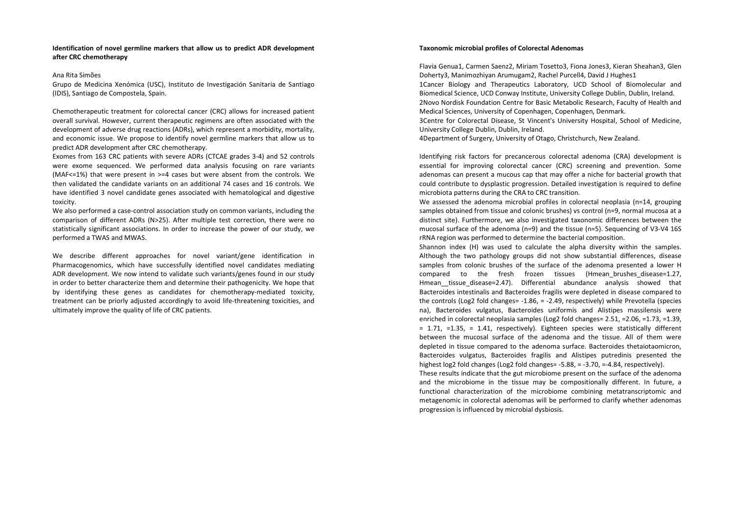## **Identification of novel germline markers that allow us to predict ADR development after CRC chemotherapy**

## Ana Rita Simões

Grupo de Medicina Xenómica (USC), Instituto de Investigación Sanitaria de Santiago (IDIS), Santiago de Compostela, Spain.

Chemotherapeutic treatment for colorectal cancer (CRC) allows for increased patient overall survival. However, current therapeutic regimens are often associated with the development of adverse drug reactions (ADRs), which represent a morbidity, mortality, and economic issue. We propose to identify novel germline markers that allow us to predict ADR development after CRC chemotherapy.

 Exomes from 163 CRC patients with severe ADRs (CTCAE grades 3-4) and 52 controls were exome sequenced. We performed data analysis focusing on rare variants (MAF<=1%) that were present in >=4 cases but were absent from the controls. We then validated the candidate variants on an additional 74 cases and 16 controls. We have identified 3 novel candidate genes associated with hematological and digestive toxicity.

We also performed a case-control association study on common variants, including the comparison of different ADRs (N>25). After multiple test correction, there were no statistically significant associations. In order to increase the power of our study, we performed a TWAS and MWAS.

We describe different approaches for novel variant/gene identification in Pharmacogenomics, which have successfully identified novel candidates mediating ADR development. We now intend to validate such variants/genes found in our study in order to better characterize them and determine their pathogenicity. We hope that by identifying these genes as candidates for chemotherapy-mediated toxicity, treatment can be priorly adjusted accordingly to avoid life-threatening toxicities, and ultimately improve the quality of life of CRC patients.

## **Taxonomic microbial profiles of Colorectal Adenomas**

Flavia Genua1, Carmen Saenz2, Miriam Tosetto3, Fiona Jones3, Kieran Sheahan3, Glen Doherty3, Manimozhiyan Arumugam2, Rachel Purcell4, David J Hughes1 1Cancer Biology and Therapeutics Laboratory, UCD School of Biomolecular and Biomedical Science, UCD Conway Institute, University College Dublin, Dublin, Ireland. 2Novo Nordisk Foundation Centre for Basic Metabolic Research, Faculty of Health and Medical Sciences, University of Copenhagen, Copenhagen, Denmark.

3Centre for Colorectal Disease, St Vincent's University Hospital, School of Medicine, University College Dublin, Dublin, Ireland.

4Department of Surgery, University of Otago, Christchurch, New Zealand.

Identifying risk factors for precancerous colorectal adenoma (CRA) development is essential for improving colorectal cancer (CRC) screening and prevention. Some adenomas can present a mucous cap that may offer a niche for bacterial growth that could contribute to dysplastic progression. Detailed investigation is required to define microbiota patterns during the CRA to CRC transition.

 We assessed the adenoma microbial profiles in colorectal neoplasia (n=14, grouping samples obtained from tissue and colonic brushes) vs control (n=9, normal mucosa at a distinct site). Furthermore, we also investigated taxonomic differences between the mucosal surface of the adenoma (n=9) and the tissue (n=5). Sequencing of V3-V4 16S rRNA region was performed to determine the bacterial composition.

Shannon index (H) was used to calculate the alpha diversity within the samples. Although the two pathology groups did not show substantial differences, disease samples from colonic brushes of the surface of the adenoma presented a lower H compared to the fresh frozen tissues (Hmean\_brushes\_disease=1.27, Hmean tissue disease=2.47). Differential abundance analysis showed that Bacteroides intestinalis and Bacteroides fragilis were depleted in disease compared to the controls (Log2 fold changes= -1.86, = -2.49, respectively) while Prevotella (species na), Bacteroides vulgatus, Bacteroides uniformis and Alistipes massilensis were enriched in colorectal neoplasia samples (Log2 fold changes= 2.51, =2.06, =1.73, =1.39,  $= 1.71$ ,  $= 1.35$ ,  $= 1.41$ , respectively). Eighteen species were statistically different between the mucosal surface of the adenoma and the tissue. All of them were depleted in tissue compared to the adenoma surface. Bacteroides thetaiotaomicron, Bacteroides vulgatus, Bacteroides fragilis and Alistipes putredinis presented the highest log2 fold changes (Log2 fold changes= -5.88, = -3.70, =-4.84, respectively).

 These results indicate that the gut microbiome present on the surface of the adenoma and the microbiome in the tissue may be compositionally different. In future, a functional characterization of the microbiome combining metatranscriptomic and metagenomic in colorectal adenomas will be performed to clarify whether adenomas progression is influenced by microbial dysbiosis.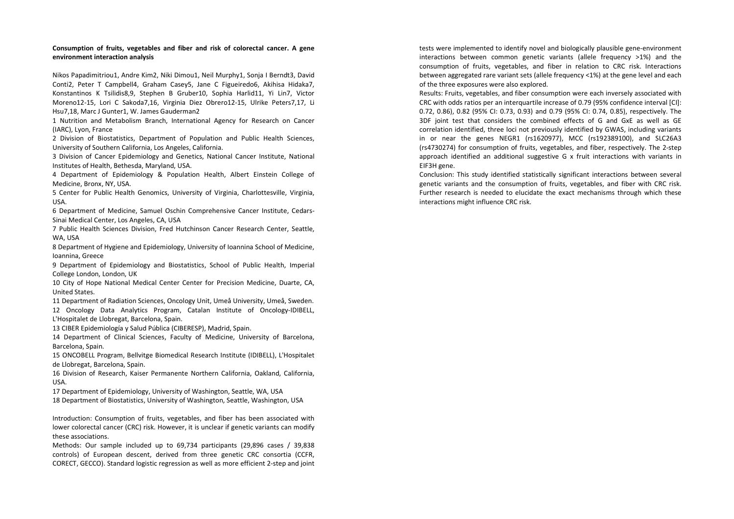## **Consumption of fruits, vegetables and fiber and risk of colorectal cancer. A gene environment interaction analysis**

Nikos Papadimitriou1, Andre Kim2, Niki Dimou1, Neil Murphy1, Sonja I Berndt3, David Conti2, Peter T Campbell4, Graham Casey5, Jane C Figueiredo6, Akihisa Hidaka7, Konstantinos K Tsilidis8,9, Stephen B Gruber10, Sophia Harlid11, Yi Lin7, Victor Moreno12-15, Lori C Sakoda7,16, Virginia Diez Obrero12-15, Ulrike Peters7,17, Li Hsu7,18, Marc J Gunter1, W. James Gauderman2

1 Nutrition and Metabolism Branch, International Agency for Research on Cancer (IARC), Lyon, France

2 Division of Biostatistics, Department of Population and Public Health Sciences, University of Southern California, Los Angeles, California.

 3 Division of Cancer Epidemiology and Genetics, National Cancer Institute, National Institutes of Health, Bethesda, Maryland, USA.

4 Department of Epidemiology & Population Health, Albert Einstein College of Medicine, Bronx, NY, USA.

 5 Center for Public Health Genomics, University of Virginia, Charlottesville, Virginia, USA.

6 Department of Medicine, Samuel Oschin Comprehensive Cancer Institute, Cedars-Sinai Medical Center, Los Angeles, CA, USA

7 Public Health Sciences Division, Fred Hutchinson Cancer Research Center, Seattle, WA, USA

 8 Department of Hygiene and Epidemiology, University of Ioannina School of Medicine, Ioannina, Greece

9 Department of Epidemiology and Biostatistics, School of Public Health, Imperial College London, London, UK

10 City of Hope National Medical Center Center for Precision Medicine, Duarte, CA, United States.

 11 Department of Radiation Sciences, Oncology Unit, Umeå University, Umeå, Sweden. 12 Oncology Data Analytics Program, Catalan Institute of Oncology-IDIBELL, L'Hospitalet de Llobregat, Barcelona, Spain.

13 CIBER Epidemiología y Salud Pública (CIBERESP), Madrid, Spain.

14 Department of Clinical Sciences, Faculty of Medicine, University of Barcelona, Barcelona, Spain.

 15 ONCOBELL Program, Bellvitge Biomedical Research Institute (IDIBELL), L'Hospitalet de Llobregat, Barcelona, Spain.

16 Division of Research, Kaiser Permanente Northern California, Oakland, California, USA.

17 Department of Epidemiology, University of Washington, Seattle, WA, USA

18 Department of Biostatistics, University of Washington, Seattle, Washington, USA

Introduction: Consumption of fruits, vegetables, and fiber has been associated with lower colorectal cancer (CRC) risk. However, it is unclear if genetic variants can modify these associations.

 Methods: Our sample included up to 69,734 participants (29,896 cases / 39,838 controls) of European descent, derived from three genetic CRC consortia (CCFR, CORECT, GECCO). Standard logistic regression as well as more efficient 2-step and joint tests were implemented to identify novel and biologically plausible gene-environment interactions between common genetic variants (allele frequency >1%) and the consumption of fruits, vegetables, and fiber in relation to CRC risk. Interactions between aggregated rare variant sets (allele frequency <1%) at the gene level and each of the three exposures were also explored.

Results: Fruits, vegetables, and fiber consumption were each inversely associated with CRC with odds ratios per an interquartile increase of 0.79 (95% confidence interval [CI]: 0.72, 0.86), 0.82 (95% CI: 0.73, 0.93) and 0.79 (95% CI: 0.74, 0.85), respectively. The 3DF joint test that considers the combined effects of G and GxE as well as GE correlation identified, three loci not previously identified by GWAS, including variants in or near the genes NEGR1 (rs1620977), MCC (rs192389100), and SLC26A3 (rs4730274) for consumption of fruits, vegetables, and fiber, respectively. The 2-step approach identified an additional suggestive G x fruit interactions with variants in EIF3H gene.

Conclusion: This study identified statistically significant interactions between several genetic variants and the consumption of fruits, vegetables, and fiber with CRC risk. Further research is needed to elucidate the exact mechanisms through which these interactions might influence CRC risk.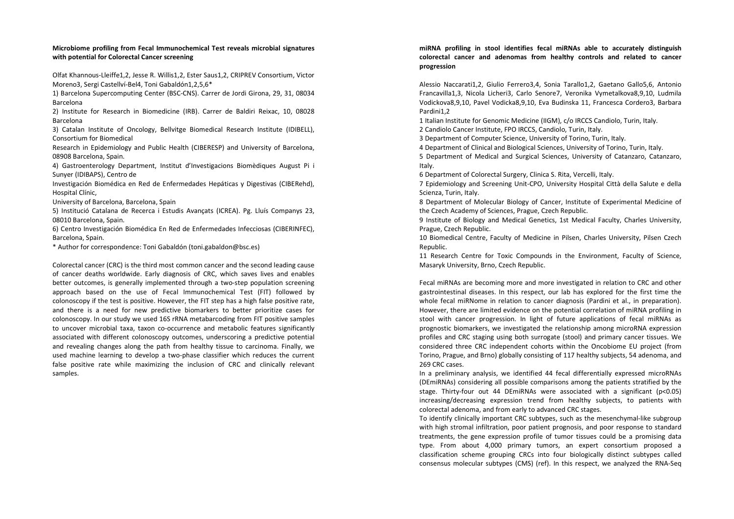## **Microbiome profiling from Fecal Immunochemical Test reveals microbial signatures with potential for Colorectal Cancer screening**

Olfat Khannous-Lleiffe1,2, Jesse R. Willis1,2, Ester Saus1,2, CRIPREV Consortium, Victor Moreno3, Sergi Castellví-Bel4, Toni Gabaldón1,2,5,6\*

1) Barcelona Supercomputing Center (BSC-CNS). Carrer de Jordi Girona, 29, 31, 08034 Barcelona

2) Institute for Research in Biomedicine (IRB). Carrer de Baldiri Reixac, 10, 08028 Barcelona

3) Catalan Institute of Oncology, Bellvitge Biomedical Research Institute (IDIBELL), Consortium for Biomedical

 Research in Epidemiology and Public Health (CIBERESP) and University of Barcelona, 08908 Barcelona, Spain.

4) Gastroenterology Department, Institut d'Investigacions Biomèdiques August Pi i Sunyer (IDIBAPS), Centro de

Investigación Biomédica en Red de Enfermedades Hepáticas y Digestivas (CIBERehd), Hospital Clínic,

University of Barcelona, Barcelona, Spain

5) Institució Catalana de Recerca i Estudis Avançats (ICREA). Pg. Lluís Companys 23, 08010 Barcelona, Spain.

6) Centro Investigación Biomédica En Red de Enfermedades Infecciosas (CIBERINFEC), Barcelona, Spain.

\* Author for correspondence: Toni Gabaldón (toni.gabaldon@bsc.es)

Colorectal cancer (CRC) is the third most common cancer and the second leading cause of cancer deaths worldwide. Early diagnosis of CRC, which saves lives and enables better outcomes, is generally implemented through a two-step population screening approach based on the use of Fecal Immunochemical Test (FIT) followed by colonoscopy if the test is positive. However, the FIT step has a high false positive rate, and there is a need for new predictive biomarkers to better prioritize cases for colonoscopy. In our study we used 16S rRNA metabarcoding from FIT positive samples to uncover microbial taxa, taxon co-occurrence and metabolic features significantly associated with different colonoscopy outcomes, underscoring a predictive potential and revealing changes along the path from healthy tissue to carcinoma. Finally, we used machine learning to develop a two-phase classifier which reduces the current false positive rate while maximizing the inclusion of CRC and clinically relevant samples.

## **miRNA profiling in stool identifies fecal miRNAs able to accurately distinguish colorectal cancer and adenomas from healthy controls and related to cancer progression**

Alessio Naccarati1,2, Giulio Ferrero3,4, Sonia Tarallo1,2, Gaetano Gallo5,6, Antonio Francavilla1,3, Nicola Licheri3, Carlo Senore7, Veronika Vymetalkova8,9,10, Ludmila Vodickova8,9,10, Pavel Vodicka8,9,10, Eva Budinska 11, Francesca Cordero3, Barbara Pardini1,2

1 Italian Institute for Genomic Medicine (IIGM), c/o IRCCS Candiolo, Turin, Italy. 2 Candiolo Cancer Institute, FPO IRCCS, Candiolo, Turin, Italy.

3 Department of Computer Science, University of Torino, Turin, Italy.

4 Department of Clinical and Biological Sciences, University of Torino, Turin, Italy.

 5 Department of Medical and Surgical Sciences, University of Catanzaro, Catanzaro, Italy.

6 Department of Colorectal Surgery, Clinica S. Rita, Vercelli, Italy.

7 Epidemiology and Screening Unit-CPO, University Hospital Città della Salute e della Scienza, Turin, Italy.

 8 Department of Molecular Biology of Cancer, Institute of Experimental Medicine of the Czech Academy of Sciences, Prague, Czech Republic.

9 Institute of Biology and Medical Genetics, 1st Medical Faculty, Charles University, Prague, Czech Republic.

10 Biomedical Centre, Faculty of Medicine in Pilsen, Charles University, Pilsen Czech Republic.

 11 Research Centre for Toxic Compounds in the Environment, Faculty of Science, Masaryk University, Brno, Czech Republic.

Fecal miRNAs are becoming more and more investigated in relation to CRC and other gastrointestinal diseases. In this respect, our lab has explored for the first time the whole fecal miRNome in relation to cancer diagnosis (Pardini et al., in preparation). However, there are limited evidence on the potential correlation of miRNA profiling in stool with cancer progression. In light of future applications of fecal miRNAs as prognostic biomarkers, we investigated the relationship among microRNA expression profiles and CRC staging using both surrogate (stool) and primary cancer tissues. We considered three CRC independent cohorts within the Oncobiome EU project (from Torino, Prague, and Brno) globally consisting of 117 healthy subjects, 54 adenoma, and 269 CRC cases.

In a preliminary analysis, we identified 44 fecal differentially expressed microRNAs (DEmiRNAs) considering all possible comparisons among the patients stratified by the stage. Thirty-four out 44 DEmiRNAs were associated with a significant (p<0.05) increasing/decreasing expression trend from healthy subjects, to patients with colorectal adenoma, and from early to advanced CRC stages.

To identify clinically important CRC subtypes, such as the mesenchymal-like subgroup with high stromal infiltration, poor patient prognosis, and poor response to standard treatments, the gene expression profile of tumor tissues could be a promising data type. From about 4,000 primary tumors, an expert consortium proposed a classification scheme grouping CRCs into four biologically distinct subtypes called consensus molecular subtypes (CMS) (ref). In this respect, we analyzed the RNA-Seq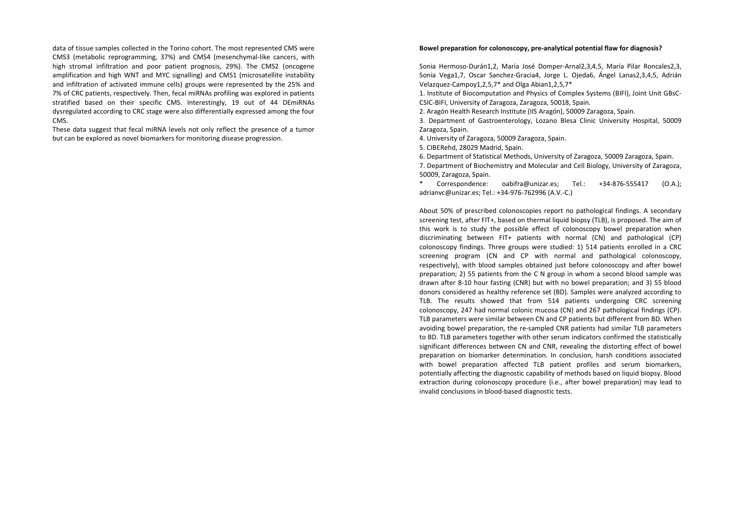data of tissue samples collected in the Torino cohort. The most represented CMS were CMS3 (metabolic reprogramming, 37%) and CMS4 (mesenchymal-like cancers, with high stromal infiltration and poor patient prognosis, 29%). The CMS2 (oncogene amplification and high WNT and MYC signalling) and CMS1 (microsatellite instability and infiltration of activated immune cells) groups were represented by the 25% and 7% of CRC patients, respectively. Then, fecal miRNAs profiling was explored in patients stratified based on their specific CMS. Interestingly, 19 out of 44 DEmiRNAs dysregulated according to CRC stage were also differentially expressed among the four CMS.

These data suggest that fecal miRNA levels not only reflect the presence of a tumor but can be explored as novel biomarkers for monitoring disease progression.

#### **Bowel preparation for colonoscopy, pre-analytical potential flaw for diagnosis?**

Sonia Hermoso-Durán1,2, María José Domper-Arnal2,3,4,5, María Pilar Roncales2,3, Sonia Vega1,7, Oscar Sanchez-Gracia4, Jorge L. Ojeda6, Ángel Lanas2,3,4,5, Adrián Velazquez-Campoy1,2,5,7\* and Olga Abian1,2,5,7\*

1. Institute of Biocomputation and Physics of Complex Systems (BIFI), Joint Unit GBsC-CSIC-BIFI, University of Zaragoza, Zaragoza, 50018, Spain.

2. Aragón Health Research Institute (IIS Aragón), 50009 Zaragoza, Spain.

3. Department of Gastroenterology, Lozano Blesa Clinic University Hospital, 50009 Zaragoza, Spain.

4. University of Zaragoza, 50009 Zaragoza, Spain.

5. CIBERehd, 28029 Madrid, Spain.

6. Department of Statistical Methods, University of Zaragoza, 50009 Zaragoza, Spain.

 7. Department of Biochemistry and Molecular and Cell Biology, University of Zaragoza, 50009, Zaragoza, Spain.

Correspondence: oabifra@unizar.es; Tel.: +34-876-555417 (O.A.); adrianvc@unizar.es; Tel.: +34-976-762996 (A.V.-C.)

About 50% of prescribed colonoscopies report no pathological findings. A secondary screening test, after FIT+, based on thermal liquid biopsy (TLB), is proposed. The aim of this work is to study the possible effect of colonoscopy bowel preparation when discriminating between FIT+ patients with normal (CN) and pathological (CP) colonoscopy findings. Three groups were studied: 1) 514 patients enrolled in a CRC screening program (CN and CP with normal and pathological colonoscopy, respectively), with blood samples obtained just before colonoscopy and after bowel preparation; 2) 55 patients from the C N group in whom a second blood sample was drawn after 8-10 hour fasting (CNR) but with no bowel preparation; and 3) 55 blood donors considered as healthy reference set (BD). Samples were analyzed according to TLB. The results showed that from 514 patients undergoing CRC screening colonoscopy, 247 had normal colonic mucosa (CN) and 267 pathological findings (CP). TLB parameters were similar between CN and CP patients but different from BD. When avoiding bowel preparation, the re-sampled CNR patients had similar TLB parameters to BD. TLB parameters together with other serum indicators confirmed the statistically significant differences between CN and CNR, revealing the distorting effect of bowel preparation on biomarker determination. In conclusion, harsh conditions associated with bowel preparation affected TLB patient profiles and serum biomarkers, potentially affecting the diagnostic capability of methods based on liquid biopsy. Blood extraction during colonoscopy procedure (i.e., after bowel preparation) may lead to invalid conclusions in blood-based diagnostic tests.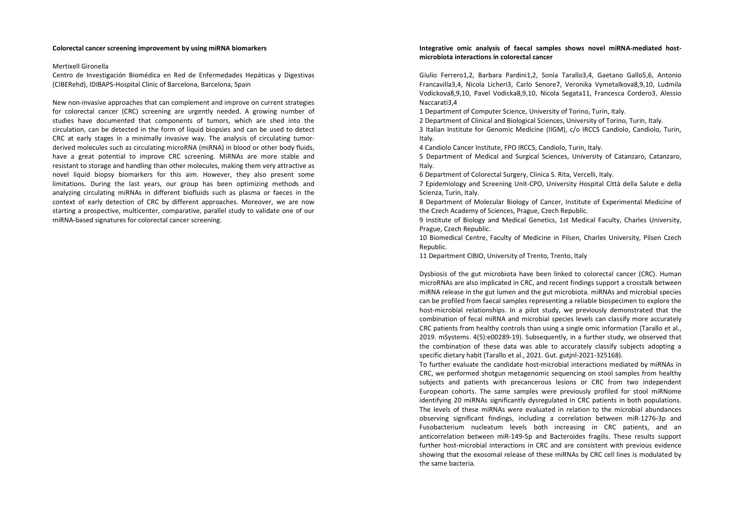#### **Colorectal cancer screening improvement by using miRNA biomarkers**

#### Mertixell Gironella

Centro de Investigación Biomédica en Red de Enfermedades Hepáticas y Digestivas (CIBERehd), IDIBAPS-Hospital Clinic of Barcelona, Barcelona, Spain

New non-invasive approaches that can complement and improve on current strategies for colorectal cancer (CRC) screening are urgently needed. A growing number of studies have documented that components of tumors, which are shed into the circulation, can be detected in the form of liquid biopsies and can be used to detect CRC at early stages in a minimally invasive way. The analysis of circulating tumorderived molecules such as circulating microRNA (miRNA) in blood or other body fluids, have a great potential to improve CRC screening. MiRNAs are more stable and resistant to storage and handling than other molecules, making them very attractive as novel liquid biopsy biomarkers for this aim. However, they also present some limitations. During the last years, our group has been optimizing methods and analyzing circulating miRNAs in different biofluids such as plasma or faeces in the context of early detection of CRC by different approaches. Moreover, we are now starting a prospective, multicenter, comparative, parallel study to validate one of our miRNA-based signatures for colorectal cancer screening.

## **Integrative omic analysis of faecal samples shows novel miRNA-mediated hostmicrobiota interactions in colorectal cancer**

Giulio Ferrero1,2, Barbara Pardini1,2, Sonia Tarallo3,4, Gaetano Gallo5,6, Antonio Francavilla3,4, Nicola Licheri3, Carlo Senore7, Veronika Vymetalkova8,9,10, Ludmila Vodickova8,9,10, Pavel Vodicka8,9,10, Nicola Segata11, Francesca Cordero3, Alessio Naccarati3,4

1 Department of Computer Science, University of Torino, Turin, Italy.

2 Department of Clinical and Biological Sciences, University of Torino, Turin, Italy.

3 Italian Institute for Genomic Medicine (IIGM), c/o IRCCS Candiolo, Candiolo, Turin, Italy.

4 Candiolo Cancer Institute, FPO IRCCS, Candiolo, Turin, Italy.

 5 Department of Medical and Surgical Sciences, University of Catanzaro, Catanzaro, Italy.

6 Department of Colorectal Surgery, Clinica S. Rita, Vercelli, Italy.

7 Epidemiology and Screening Unit-CPO, University Hospital Città della Salute e della Scienza, Turin, Italy.

 8 Department of Molecular Biology of Cancer, Institute of Experimental Medicine of the Czech Academy of Sciences, Prague, Czech Republic.

9 Institute of Biology and Medical Genetics, 1st Medical Faculty, Charles University, Prague, Czech Republic.

10 Biomedical Centre, Faculty of Medicine in Pilsen, Charles University, Pilsen Czech Republic.

11 Department CIBIO, University of Trento, Trento, Italy

Dysbiosis of the gut microbiota have been linked to colorectal cancer (CRC). Human microRNAs are also implicated in CRC, and recent findings support a crosstalk between miRNA release in the gut lumen and the gut microbiota. miRNAs and microbial species can be profiled from faecal samples representing a reliable biospecimen to explore the host-microbial relationships. In a pilot study, we previously demonstrated that the combination of fecal miRNA and microbial species levels can classify more accurately CRC patients from healthy controls than using a single omic information (Tarallo et al., 2019. mSystems. 4(5):e00289-19). Subsequently, in a further study, we observed that the combination of these data was able to accurately classify subjects adopting a specific dietary habit (Tarallo et al., 2021. Gut. gutjnl-2021-325168).

To further evaluate the candidate host-microbial interactions mediated by miRNAs in CRC, we performed shotgun metagenomic sequencing on stool samples from healthy subjects and patients with precancerous lesions or CRC from two independent European cohorts. The same samples were previously profiled for stool miRNome identifying 20 miRNAs significantly dysregulated in CRC patients in both populations. The levels of these miRNAs were evaluated in relation to the microbial abundances observing significant findings, including a correlation between miR-1276-3p and Fusobacterium nucleatum levels both increasing in CRC patients, and an anticorrelation between miR-149-5p and Bacteroides fragilis. These results support further host-microbial interactions in CRC and are consistent with previous evidence showing that the exosomal release of these miRNAs by CRC cell lines is modulated by the same bacteria.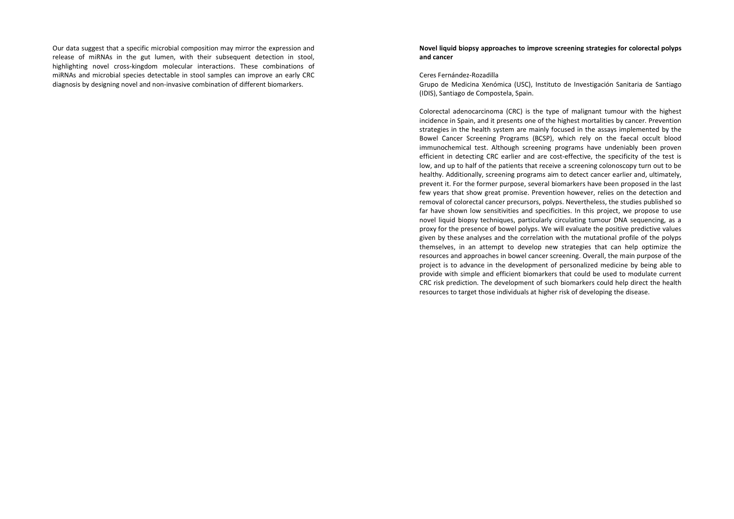Our data suggest that a specific microbial composition may mirror the expression and release of miRNAs in the gut lumen, with their subsequent detection in stool, highlighting novel cross-kingdom molecular interactions. These combinations of miRNAs and microbial species detectable in stool samples can improve an early CRC diagnosis by designing novel and non-invasive combination of different biomarkers.

## **Novel liquid biopsy approaches to improve screening strategies for colorectal polyps and cancer**

#### Ceres Fernández-Rozadilla

Grupo de Medicina Xenómica (USC), Instituto de Investigación Sanitaria de Santiago (IDIS), Santiago de Compostela, Spain.

Colorectal adenocarcinoma (CRC) is the type of malignant tumour with the highest incidence in Spain, and it presents one of the highest mortalities by cancer. Prevention strategies in the health system are mainly focused in the assays implemented by the Bowel Cancer Screening Programs (BCSP), which rely on the faecal occult blood immunochemical test. Although screening programs have undeniably been proven efficient in detecting CRC earlier and are cost-effective, the specificity of the test is low, and up to half of the patients that receive a screening colonoscopy turn out to be healthy. Additionally, screening programs aim to detect cancer earlier and, ultimately, prevent it. For the former purpose, several biomarkers have been proposed in the last few years that show great promise. Prevention however, relies on the detection and removal of colorectal cancer precursors, polyps. Nevertheless, the studies published so far have shown low sensitivities and specificities. In this project, we propose to use novel liquid biopsy techniques, particularly circulating tumour DNA sequencing, as a proxy for the presence of bowel polyps. We will evaluate the positive predictive values given by these analyses and the correlation with the mutational profile of the polyps themselves, in an attempt to develop new strategies that can help optimize the resources and approaches in bowel cancer screening. Overall, the main purpose of the project is to advance in the development of personalized medicine by being able to provide with simple and efficient biomarkers that could be used to modulate current CRC risk prediction. The development of such biomarkers could help direct the health resources to target those individuals at higher risk of developing the disease.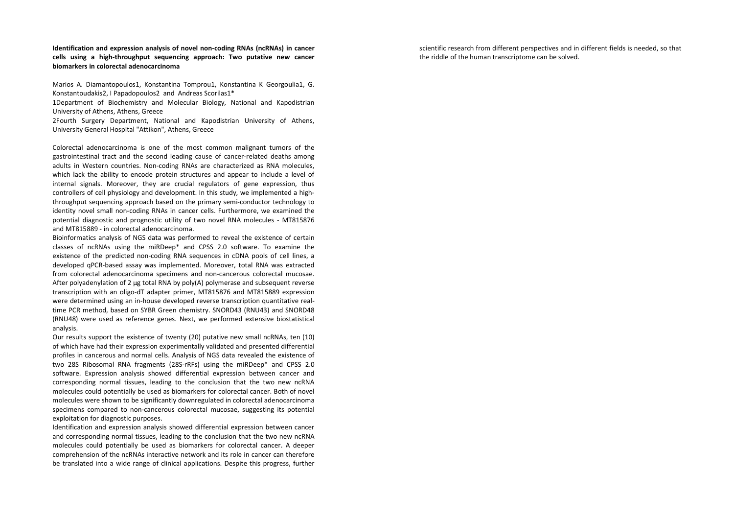**Identification and expression analysis of novel non-coding RNAs (ncRNAs) in cancer cells using a high-throughput sequencing approach: Two putative new cancer biomarkers in colorectal adenocarcinoma** 

Marios A. Diamantopoulos1, Konstantina Tomprou1, Konstantina K Georgoulia1, G. Konstantoudakis2, I Papadopoulos2 and Andreas Scorilas1\*

1Department of Biochemistry and Molecular Biology, National and Kapodistrian University of Athens, Athens, Greece

2Fourth Surgery Department, National and Kapodistrian University of Athens, University General Hospital "Attikon", Athens, Greece

Colorectal adenocarcinoma is one of the most common malignant tumors of the gastrointestinal tract and the second leading cause of cancer-related deaths among adults in Western countries. Non-coding RNAs are characterized as RNA molecules, which lack the ability to encode protein structures and appear to include a level of internal signals. Moreover, they are crucial regulators of gene expression, thus controllers of cell physiology and development. In this study, we implemented a highthroughput sequencing approach based on the primary semi-conductor technology to identity novel small non-coding RNAs in cancer cells. Furthermore, we examined the potential diagnostic and prognostic utility of two novel RNA molecules - MT815876 and MT815889 - in colorectal adenocarcinoma.

 Bioinformatics analysis of NGS data was performed to reveal the existence of certain classes of ncRNAs using the miRDeep\* and CPSS 2.0 software. To examine the existence of the predicted non-coding RNA sequences in cDNA pools of cell lines, a developed qPCR-based assay was implemented. Moreover, total RNA was extracted from colorectal adenocarcinoma specimens and non-cancerous colorectal mucosae. After polyadenylation of 2 μg total RNA by poly(A) polymerase and subsequent reverse transcription with an oligo-dT adapter primer, MT815876 and MT815889 expression were determined using an in-house developed reverse transcription quantitative realtime PCR method, based on SYBR Green chemistry. SNORD43 (RNU43) and SNORD48 (RNU48) were used as reference genes. Next, we performed extensive biostatistical analysis.

Our results support the existence of twenty (20) putative new small ncRNAs, ten (10) of which have had their expression experimentally validated and presented differential profiles in cancerous and normal cells. Analysis of NGS data revealed the existence of two 28S Ribosomal RNA fragments (28S-rRFs) using the miRDeep\* and CPSS 2.0 software. Expression analysis showed differential expression between cancer and corresponding normal tissues, leading to the conclusion that the two new ncRNA molecules could potentially be used as biomarkers for colorectal cancer. Both of novel molecules were shown to be significantly downregulated in colorectal adenocarcinoma specimens compared to non-cancerous colorectal mucosae, suggesting its potential exploitation for diagnostic purposes.

Identification and expression analysis showed differential expression between cancer and corresponding normal tissues, leading to the conclusion that the two new ncRNA molecules could potentially be used as biomarkers for colorectal cancer. A deeper comprehension of the ncRNAs interactive network and its role in cancer can therefore be translated into a wide range of clinical applications. Despite this progress, further scientific research from different perspectives and in different fields is needed, so that the riddle of the human transcriptome can be solved.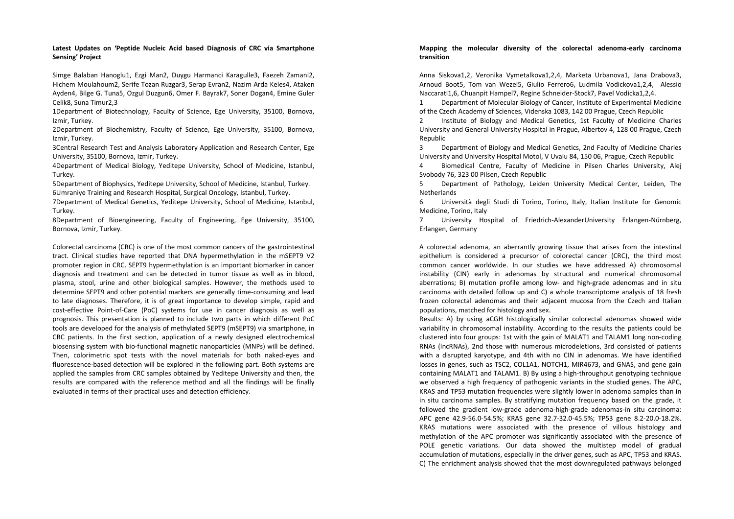## **Latest Updates on 'Peptide Nucleic Acid based Diagnosis of CRC via Smartphone Sensing' Project**

Simge Balaban Hanoglu1, Ezgi Man2, Duygu Harmanci Karagulle3, Faezeh Zamani2, Hichem Moulahoum2, Serife Tozan Ruzgar3, Serap Evran2, Nazim Arda Keles4, Ataken Ayden4, Bilge G. Tuna5, Ozgul Duzgun6, Omer F. Bayrak7, Soner Dogan4, Emine Guler Celik8, Suna Timur2,3

1Department of Biotechnology, Faculty of Science, Ege University, 35100, Bornova, Izmir, Turkey.

2Department of Biochemistry, Faculty of Science, Ege University, 35100, Bornova, Izmir, Turkey.

 3Central Research Test and Analysis Laboratory Application and Research Center, Ege University, 35100, Bornova, Izmir, Turkey.

 4Department of Medical Biology, Yeditepe University, School of Medicine, Istanbul, Turkey.

5Department of Biophysics, Yeditepe University, School of Medicine, Istanbul, Turkey. 6Umraniye Training and Research Hospital, Surgical Oncology, Istanbul, Turkey.

7Department of Medical Genetics, Yeditepe University, School of Medicine, Istanbul, Turkey.

8Department of Bioengineering, Faculty of Engineering, Ege University, 35100, Bornova, Izmir, Turkey.

Colorectal carcinoma (CRC) is one of the most common cancers of the gastrointestinal tract. Clinical studies have reported that DNA hypermethylation in the mSEPT9 V2 promoter region in CRC. SEPT9 hypermethylation is an important biomarker in cancer diagnosis and treatment and can be detected in tumor tissue as well as in blood, plasma, stool, urine and other biological samples. However, the methods used to determine SEPT9 and other potential markers are generally time-consuming and lead to late diagnoses. Therefore, it is of great importance to develop simple, rapid and cost-effective Point-of-Care (PoC) systems for use in cancer diagnosis as well as prognosis. This presentation is planned to include two parts in which different PoC tools are developed for the analysis of methylated SEPT9 (mSEPT9) via smartphone, in CRC patients. In the first section, application of a newly designed electrochemical biosensing system with bio-functional magnetic nanoparticles (MNPs) will be defined. Then, colorimetric spot tests with the novel materials for both naked-eyes and fluorescence-based detection will be explored in the following part. Both systems are applied the samples from CRC samples obtained by Yeditepe University and then, the results are compared with the reference method and all the findings will be finally evaluated in terms of their practical uses and detection efficiency.

## **Mapping the molecular diversity of the colorectal adenoma-early carcinoma transition**

Anna Siskova1,2, Veronika Vymetalkova1,2,4, Marketa Urbanova1, Jana Drabova3, Arnoud Boot5, Tom van Wezel5, Giulio Ferrero6, Ludmila Vodickova1,2,4, Alessio Naccarati1,6, Chuanpit Hampel7, Regine Schneider-Stock7, Pavel Vodicka1,2,4.

1 Department of Molecular Biology of Cancer, Institute of Experimental Medicine of the Czech Academy of Sciences, Videnska 1083, 142 00 Prague, Czech Republic

2 Institute of Biology and Medical Genetics, 1st Faculty of Medicine Charles University and General University Hospital in Prague, Albertov 4, 128 00 Prague, Czech Republic

 3 Department of Biology and Medical Genetics, 2nd Faculty of Medicine Charles University and University Hospital Motol, V Uvalu 84, 150 06, Prague, Czech Republic

 4 Biomedical Centre, Faculty of Medicine in Pilsen Charles University, Alej Svobody 76, 323 00 Pilsen, Czech Republic

5 Department of Pathology, Leiden University Medical Center, Leiden, The Netherlands

6 Università degli Studi di Torino, Torino, Italy, Italian Institute for Genomic Medicine, Torino, Italy

7 University Hospital of Friedrich-AlexanderUniversity Erlangen-Nürnberg, Erlangen, Germany

A colorectal adenoma, an aberrantly growing tissue that arises from the intestinal epithelium is considered a precursor of colorectal cancer (CRC), the third most common cancer worldwide. In our studies we have addressed A) chromosomal instability (CIN) early in adenomas by structural and numerical chromosomal aberrations; B) mutation profile among low- and high-grade adenomas and in situ carcinoma with detailed follow up and C) a whole transcriptome analysis of 18 fresh frozen colorectal adenomas and their adjacent mucosa from the Czech and Italian populations, matched for histology and sex.

Results: A) by using aCGH histologically similar colorectal adenomas showed wide variability in chromosomal instability. According to the results the patients could be clustered into four groups: 1st with the gain of MALAT1 and TALAM1 long non-coding RNAs (lncRNAs), 2nd those with numerous microdeletions, 3rd consisted of patients with a disrupted karyotype, and 4th with no CIN in adenomas. We have identified losses in genes, such as TSC2, COL1A1, NOTCH1, MIR4673, and GNAS, and gene gain containing MALAT1 and TALAM1. B) By using a high-throughput genotyping technique we observed a high frequency of pathogenic variants in the studied genes. The APC, KRAS and TP53 mutation frequencies were slightly lower in adenoma samples than in in situ carcinoma samples. By stratifying mutation frequency based on the grade, it followed the gradient low-grade adenoma-high-grade adenomas-in situ carcinoma: APC gene 42.9-56.0-54.5%; KRAS gene 32.7-32.0-45.5%; TP53 gene 8.2-20.0-18.2%. KRAS mutations were associated with the presence of villous histology and methylation of the APC promoter was significantly associated with the presence of POLE genetic variations. Our data showed the multistep model of gradual accumulation of mutations, especially in the driver genes, such as APC, TP53 and KRAS. C) The enrichment analysis showed that the most downregulated pathways belonged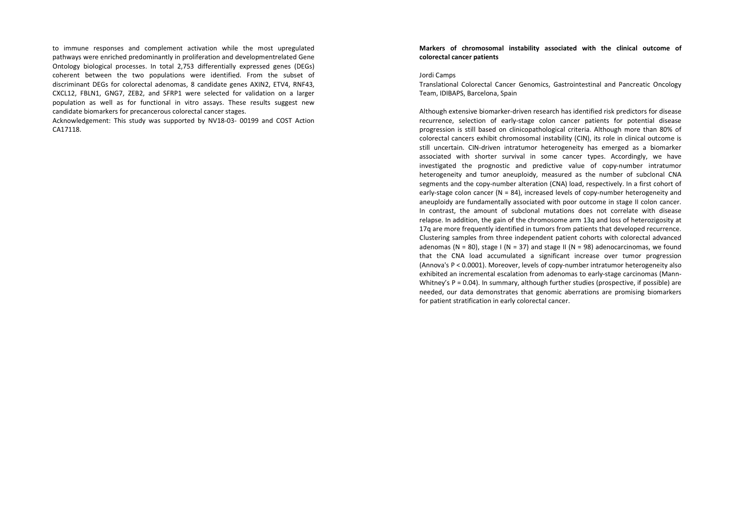to immune responses and complement activation while the most upregulated pathways were enriched predominantly in proliferation and developmentrelated Gene Ontology biological processes. In total 2,753 differentially expressed genes (DEGs) coherent between the two populations were identified. From the subset of discriminant DEGs for colorectal adenomas, 8 candidate genes AXIN2, ETV4, RNF43, CXCL12, FBLN1, GNG7, ZEB2, and SFRP1 were selected for validation on a larger population as well as for functional in vitro assays. These results suggest new candidate biomarkers for precancerous colorectal cancer stages.

Acknowledgement: This study was supported by NV18-03- 00199 and COST Action CA17118.

## **Markers of chromosomal instability associated with the clinical outcome of colorectal cancer patients**

#### Jordi Camps

Translational Colorectal Cancer Genomics, Gastrointestinal and Pancreatic Oncology Team, IDIBAPS, Barcelona, Spain

Although extensive biomarker-driven research has identified risk predictors for disease recurrence, selection of early-stage colon cancer patients for potential disease progression is still based on clinicopathological criteria. Although more than 80% of colorectal cancers exhibit chromosomal instability (CIN), its role in clinical outcome is still uncertain. CIN-driven intratumor heterogeneity has emerged as a biomarker associated with shorter survival in some cancer types. Accordingly, we have investigated the prognostic and predictive value of copy-number intratumor heterogeneity and tumor aneuploidy, measured as the number of subclonal CNA segments and the copy-number alteration (CNA) load, respectively. In a first cohort of early-stage colon cancer ( $N = 84$ ), increased levels of copy-number heterogeneity and aneuploidy are fundamentally associated with poor outcome in stage II colon cancer. In contrast, the amount of subclonal mutations does not correlate with disease relapse. In addition, the gain of the chromosome arm 13q and loss of heterozigosity at 17q are more frequently identified in tumors from patients that developed recurrence. Clustering samples from three independent patient cohorts with colorectal advanced adenomas ( $N = 80$ ), stage I ( $N = 37$ ) and stage II ( $N = 98$ ) adenocarcinomas, we found that the CNA load accumulated a significant increase over tumor progression (Annova's P < 0.0001). Moreover, levels of copy-number intratumor heterogeneity also exhibited an incremental escalation from adenomas to early-stage carcinomas (Mann-Whitney's  $P = 0.04$ ). In summary, although further studies (prospective, if possible) are needed, our data demonstrates that genomic aberrations are promising biomarkers for patient stratification in early colorectal cancer.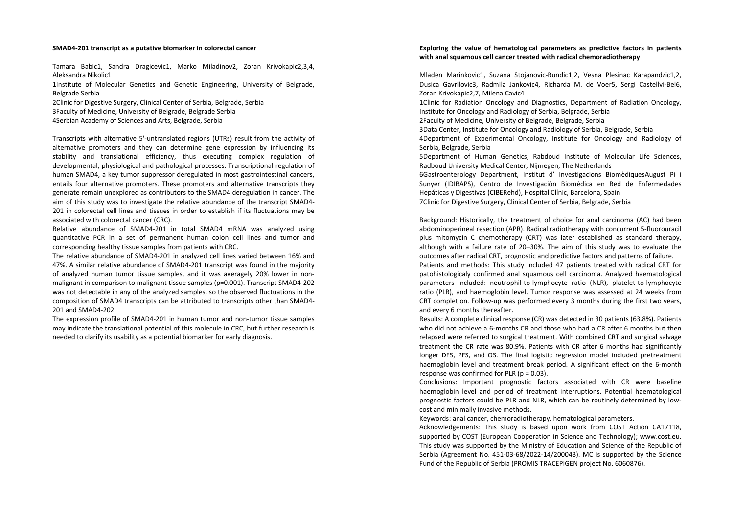#### **SMAD4-201 transcript as a putative biomarker in colorectal cancer**

Tamara Babic1, Sandra Dragicevic1, Marko Miladinov2, Zoran Krivokapic2,3,4, Aleksandra Nikolic1

1Institute of Molecular Genetics and Genetic Engineering, University of Belgrade, Belgrade Serbia

2Clinic for Digestive Surgery, Clinical Center of Serbia, Belgrade, Serbia 3Faculty of Medicine, University of Belgrade, Belgrade Serbia 4Serbian Academy of Sciences and Arts, Belgrade, Serbia

Transcripts with alternative 5'-untranslated regions (UTRs) result from the activity of alternative promoters and they can determine gene expression by influencing its stability and translational efficiency, thus executing complex regulation of developmental, physiological and pathological processes. Transcriptional regulation of human SMAD4, a key tumor suppressor deregulated in most gastrointestinal cancers, entails four alternative promoters. These promoters and alternative transcripts they generate remain unexplored as contributors to the SMAD4 deregulation in cancer. The aim of this study was to investigate the relative abundance of the transcript SMAD4- 201 in colorectal cell lines and tissues in order to establish if its fluctuations may be associated with colorectal cancer (CRC).

Relative abundance of SMAD4-201 in total SMAD4 mRNA was analyzed using quantitative PCR in a set of permanent human colon cell lines and tumor and corresponding healthy tissue samples from patients with CRC.

The relative abundance of SMAD4-201 in analyzed cell lines varied between 16% and 47%. A similar relative abundance of SMAD4-201 transcript was found in the majority of analyzed human tumor tissue samples, and it was averagely 20% lower in nonmalignant in comparison to malignant tissue samples (p=0.001). Transcript SMAD4-202 was not detectable in any of the analyzed samples, so the observed fluctuations in the composition of SMAD4 transcripts can be attributed to transcripts other than SMAD4-201 and SMAD4-202.

The expression profile of SMAD4-201 in human tumor and non-tumor tissue samples may indicate the translational potential of this molecule in CRC, but further research is needed to clarify its usability as a potential biomarker for early diagnosis.

## **Exploring the value of hematological parameters as predictive factors in patients with anal squamous cell cancer treated with radical chemoradiotherapy**

Mladen Marinkovic1, Suzana Stojanovic-Rundic1,2, Vesna Plesinac Karapandzic1,2, Dusica Gavrilovic3, Radmila Jankovic4, Richarda M. de Voer5, Sergi Castellvi-Bel6, Zoran Krivokapic2,7, Milena Cavic4

1Clinic for Radiation Oncology and Diagnostics, Department of Radiation Oncology, Institute for Oncology and Radiology of Serbia, Belgrade, Serbia

2Faculty of Medicine, University of Belgrade, Belgrade, Serbia

3Data Center, Institute for Oncology and Radiology of Serbia, Belgrade, Serbia

4Department of Experimental Oncology, Institute for Oncology and Radiology of Serbia, Belgrade, Serbia

 5Department of Human Genetics, Rabdoud Institute of Molecular Life Sciences, Radboud University Medical Center, Nijmegen, The Netherlands

6Gastroenterology Department, Institut d' Investigacions BiomèdiquesAugust Pi i Sunyer (IDIBAPS), Centro de Investigación Biomédica en Red de Enfermedades Hepáticas y Digestivas (CIBERehd), Hospital Clínic, Barcelona, Spain 7Clinic for Digestive Surgery, Clinical Center of Serbia, Belgrade, Serbia

Background: Historically, the treatment of choice for anal carcinoma (AC) had been abdominoperineal resection (APR). Radical radiotherapy with concurrent 5-fluorouracil plus mitomycin C chemotherapy (CRT) was later established as standard therapy, although with a failure rate of 20–30%. The aim of this study was to evaluate the outcomes after radical CRT, prognostic and predictive factors and patterns of failure. Patients and methods: This study included 47 patients treated with radical CRT for patohistologicaly confirmed anal squamous cell carcinoma. Analyzed haematological parameters included: neutrophil-to-lymphocyte ratio (NLR), platelet-to-lymphocyte ratio (PLR), and haemoglobin level. Tumor response was assessed at 24 weeks from CRT completion. Follow-up was performed every 3 months during the first two years, and every 6 months thereafter.

Results: A complete clinical response (CR) was detected in 30 patients (63.8%). Patients who did not achieve a 6-months CR and those who had a CR after 6 months but then relapsed were referred to surgical treatment. With combined CRT and surgical salvage treatment the CR rate was 80.9%. Patients with CR after 6 months had significantly longer DFS, PFS, and OS. The final logistic regression model included pretreatment haemoglobin level and treatment break period. A significant effect on the 6-month response was confirmed for PLR  $(p = 0.03)$ .

Conclusions: Important prognostic factors associated with CR were baseline haemoglobin level and period of treatment interruptions. Potential haematological prognostic factors could be PLR and NLR, which can be routinely determined by lowcost and minimally invasive methods.

Keywords: anal cancer, chemoradiotherapy, hematological parameters.

Acknowledgements: This study is based upon work from COST Action CA17118, supported by COST (European Cooperation in Science and Technology); www.cost.eu. This study was supported by the Ministry of Education and Science of the Republic of Serbia (Agreement No. 451-03-68/2022-14/200043). MC is supported by the Science Fund of the Republic of Serbia (PROMIS TRACEPIGEN project No. 6060876).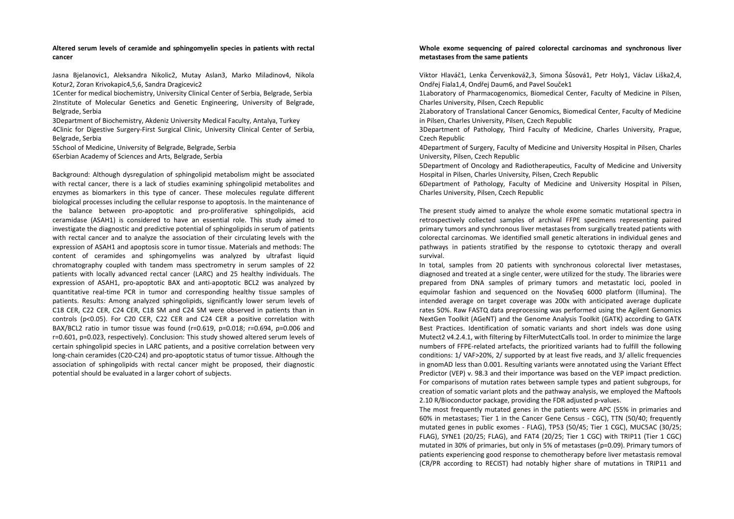## **Altered serum levels of ceramide and sphingomyelin species in patients with rectal cancer**

Jasna Bjelanovic1, Aleksandra Nikolic2, Mutay Aslan3, Marko Miladinov4, Nikola Kotur2, Zoran Krivokapic4,5,6, Sandra Dragicevic2

1Center for medical biochemistry, University Clinical Center of Serbia, Belgrade, Serbia 2Institute of Molecular Genetics and Genetic Engineering, University of Belgrade, Belgrade, Serbia

3Department of Biochemistry, Akdeniz University Medical Faculty, Antalya, Turkey 4Clinic for Digestive Surgery-First Surgical Clinic, University Clinical Center of Serbia, Belgrade, Serbia

 5School of Medicine, University of Belgrade, Belgrade, Serbia 6Serbian Academy of Sciences and Arts, Belgrade, Serbia

Background: Although dysregulation of sphingolipid metabolism might be associated with rectal cancer, there is a lack of studies examining sphingolipid metabolites and enzymes as biomarkers in this type of cancer. These molecules regulate different biological processes including the cellular response to apoptosis. In the maintenance of the balance between pro-apoptotic and pro-proliferative sphingolipids, acid ceramidase (ASAH1) is considered to have an essential role. This study aimed to investigate the diagnostic and predictive potential of sphingolipids in serum of patients with rectal cancer and to analyze the association of their circulating levels with the expression of ASAH1 and apoptosis score in tumor tissue. Materials and methods: The content of ceramides and sphingomyelins was analyzed by ultrafast liquid chromatography coupled with tandem mass spectrometry in serum samples of 22 patients with locally advanced rectal cancer (LARC) and 25 healthy individuals. The expression of ASAH1, pro-apoptotic BAX and anti-apoptotic BCL2 was analyzed by quantitative real-time PCR in tumor and corresponding healthy tissue samples of patients. Results: Among analyzed sphingolipids, significantly lower serum levels of C18 CER, C22 CER, C24 CER, C18 SM and C24 SM were observed in patients than in controls (p<0.05). For C20 CER, C22 CER and C24 CER a positive correlation with BAX/BCL2 ratio in tumor tissue was found (r=0.619, p=0.018; r=0.694, p=0.006 and r=0.601, p=0.023, respectively). Conclusion: This study showed altered serum levels of certain sphingolipid species in LARC patients, and a positive correlation between very long-chain ceramides (C20-C24) and pro-apoptotic status of tumor tissue. Although the association of sphingolipids with rectal cancer might be proposed, their diagnostic potential should be evaluated in a larger cohort of subjects.

## **Whole exome sequencing of paired colorectal carcinomas and synchronous liver metastases from the same patients**

Viktor Hlaváč1, Lenka Červenková2,3, Simona Šůsová1, Petr Holy1, Václav Liška2,4, Ondřej Fiala1,4, Ondřej Daum6, and Pavel Souček1

1Laboratory of Pharmacogenomics, Biomedical Center, Faculty of Medicine in Pilsen, Charles University, Pilsen, Czech Republic

2Laboratory of Translational Cancer Genomics, Biomedical Center, Faculty of Medicine in Pilsen, Charles University, Pilsen, Czech Republic

3Department of Pathology, Third Faculty of Medicine, Charles University, Prague, Czech Republic

 4Department of Surgery, Faculty of Medicine and University Hospital in Pilsen, Charles University, Pilsen, Czech Republic

 5Department of Oncology and Radiotherapeutics, Faculty of Medicine and University Hospital in Pilsen, Charles University, Pilsen, Czech Republic

6Department of Pathology, Faculty of Medicine and University Hospital in Pilsen, Charles University, Pilsen, Czech Republic

The present study aimed to analyze the whole exome somatic mutational spectra in retrospectively collected samples of archival FFPE specimens representing paired primary tumors and synchronous liver metastases from surgically treated patients with colorectal carcinomas. We identified small genetic alterations in individual genes and pathways in patients stratified by the response to cytotoxic therapy and overall survival.

In total, samples from 20 patients with synchronous colorectal liver metastases, diagnosed and treated at a single center, were utilized for the study. The libraries were prepared from DNA samples of primary tumors and metastatic loci, pooled in equimolar fashion and sequenced on the NovaSeq 6000 platform (Illumina). The intended average on target coverage was 200x with anticipated average duplicate rates 50%. Raw FASTQ data preprocessing was performed using the Agilent Genomics NextGen Toolkit (AGeNT) and the Genome Analysis Toolkit (GATK) according to GATK Best Practices. Identification of somatic variants and short indels was done using Mutect2 v4.2.4.1, with filtering by FilterMutectCalls tool. In order to minimize the large numbers of FFPE-related artefacts, the prioritized variants had to fulfill the following conditions: 1/ VAF>20%, 2/ supported by at least five reads, and 3/ allelic frequencies in gnomAD less than 0.001. Resulting variants were annotated using the Variant Effect Predictor (VEP) v. 98.3 and their importance was based on the VEP impact prediction. For comparisons of mutation rates between sample types and patient subgroups, for creation of somatic variant plots and the pathway analysis, we employed the Maftools 2.10 R/Bioconductor package, providing the FDR adjusted p-values.

 The most frequently mutated genes in the patients were APC (55% in primaries and 60% in metastases; Tier 1 in the Cancer Gene Census - CGC), TTN (50/40; frequently mutated genes in public exomes - FLAG), TP53 (50/45; Tier 1 CGC), MUC5AC (30/25; FLAG), SYNE1 (20/25; FLAG), and FAT4 (20/25; Tier 1 CGC) with TRIP11 (Tier 1 CGC) mutated in 30% of primaries, but only in 5% of metastases (p=0.09). Primary tumors of patients experiencing good response to chemotherapy before liver metastasis removal (CR/PR according to RECIST) had notably higher share of mutations in TRIP11 and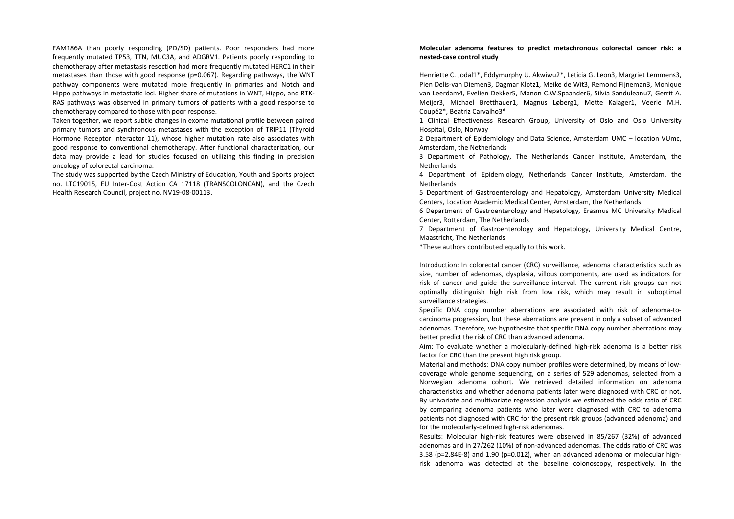FAM186A than poorly responding (PD/SD) patients. Poor responders had more frequently mutated TP53, TTN, MUC3A, and ADGRV1. Patients poorly responding to chemotherapy after metastasis resection had more frequently mutated HERC1 in their metastases than those with good response (p=0.067). Regarding pathways, the WNT pathway components were mutated more frequently in primaries and Notch and Hippo pathways in metastatic loci. Higher share of mutations in WNT, Hippo, and RTK-RAS pathways was observed in primary tumors of patients with a good response to chemotherapy compared to those with poor response.

Taken together, we report subtle changes in exome mutational profile between paired primary tumors and synchronous metastases with the exception of TRIP11 (Thyroid Hormone Receptor Interactor 11), whose higher mutation rate also associates with good response to conventional chemotherapy. After functional characterization, our data may provide a lead for studies focused on utilizing this finding in precision oncology of colorectal carcinoma.

The study was supported by the Czech Ministry of Education, Youth and Sports project no. LTC19015, EU Inter-Cost Action CA 17118 (TRANSCOLONCAN), and the Czech Health Research Council, project no. NV19-08-00113.

## **Molecular adenoma features to predict metachronous colorectal cancer risk: a nested-case control study**

Henriette C. Jodal1\*, Eddymurphy U. Akwiwu2\*, Leticia G. Leon3, Margriet Lemmens3, Pien Delis-van Diemen3, Dagmar Klotz1, Meike de Wit3, Remond Fijneman3, Monique van Leerdam4, Evelien Dekker5, Manon C.W.Spaander6, Silvia Sanduleanu7, Gerrit A. Meijer3, Michael Bretthauer1, Magnus Løberg1, Mette Kalager1, Veerle M.H. Coupé2\*, Beatriz Carvalho3\*

1 Clinical Effectiveness Research Group, University of Oslo and Oslo University Hospital, Oslo, Norway

2 Department of Epidemiology and Data Science, Amsterdam UMC – location VUmc, Amsterdam, the Netherlands

 3 Department of Pathology, The Netherlands Cancer Institute, Amsterdam, the Netherlands

4 Department of Epidemiology, Netherlands Cancer Institute, Amsterdam, the Netherlands

5 Department of Gastroenterology and Hepatology, Amsterdam University Medical Centers, Location Academic Medical Center, Amsterdam, the Netherlands

6 Department of Gastroenterology and Hepatology, Erasmus MC University Medical Center, Rotterdam, The Netherlands

7 Department of Gastroenterology and Hepatology, University Medical Centre, Maastricht, The Netherlands

\*These authors contributed equally to this work.

Introduction: In colorectal cancer (CRC) surveillance, adenoma characteristics such as size, number of adenomas, dysplasia, villous components, are used as indicators for risk of cancer and guide the surveillance interval. The current risk groups can not optimally distinguish high risk from low risk, which may result in suboptimal surveillance strategies.

Specific DNA copy number aberrations are associated with risk of adenoma-tocarcinoma progression, but these aberrations are present in only a subset of advanced adenomas. Therefore, we hypothesize that specific DNA copy number aberrations may better predict the risk of CRC than advanced adenoma.

Aim: To evaluate whether a molecularly-defined high-risk adenoma is a better risk factor for CRC than the present high risk group.

Material and methods: DNA copy number profiles were determined, by means of lowcoverage whole genome sequencing, on a series of 529 adenomas, selected from a Norwegian adenoma cohort. We retrieved detailed information on adenoma characteristics and whether adenoma patients later were diagnosed with CRC or not. By univariate and multivariate regression analysis we estimated the odds ratio of CRC by comparing adenoma patients who later were diagnosed with CRC to adenoma patients not diagnosed with CRC for the present risk groups (advanced adenoma) and for the molecularly-defined high-risk adenomas.

 Results: Molecular high-risk features were observed in 85/267 (32%) of advanced adenomas and in 27/262 (10%) of non-advanced adenomas. The odds ratio of CRC was 3.58 (p=2.84E-8) and 1.90 (p=0.012), when an advanced adenoma or molecular highrisk adenoma was detected at the baseline colonoscopy, respectively. In the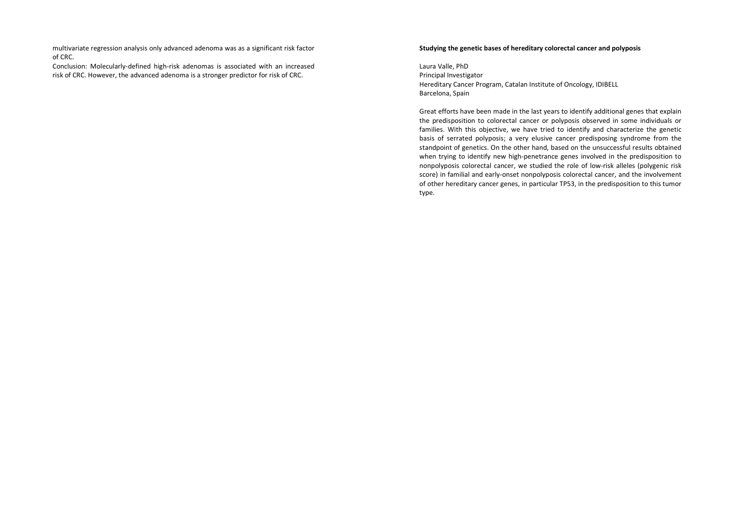multivariate regression analysis only advanced adenoma was as a significant risk factor of CRC.

 Conclusion: Molecularly-defined high-risk adenomas is associated with an increased risk of CRC. However, the advanced adenoma is a stronger predictor for risk of CRC.

## **Studying the genetic bases of hereditary colorectal cancer and polyposis**

Laura Valle, PhD Principal Investigator Hereditary Cancer Program, Catalan Institute of Oncology, IDIBELL Barcelona, Spain

Great efforts have been made in the last years to identify additional genes that explain the predisposition to colorectal cancer or polyposis observed in some individuals or families. With this objective, we have tried to identify and characterize the genetic basis of serrated polyposis; a very elusive cancer predisposing syndrome from the standpoint of genetics. On the other hand, based on the unsuccessful results obtained when trying to identify new high-penetrance genes involved in the predisposition to nonpolyposis colorectal cancer, we studied the role of low-risk alleles (polygenic risk score) in familial and early-onset nonpolyposis colorectal cancer, and the involvement of other hereditary cancer genes, in particular TP53, in the predisposition to this tumor type.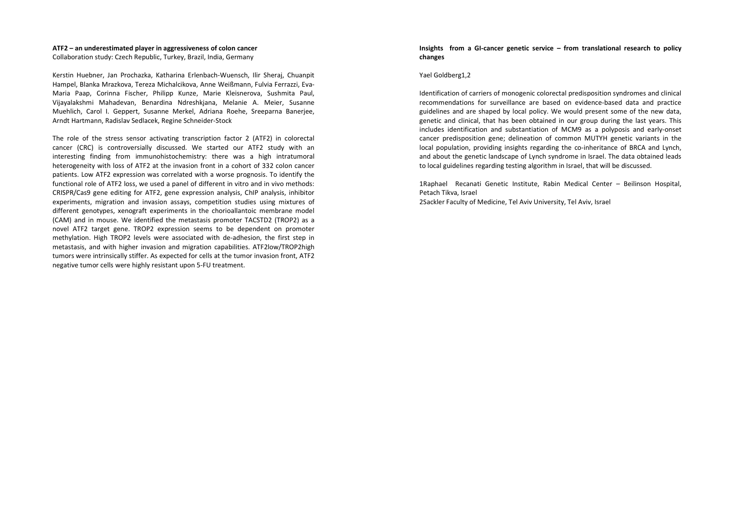#### **ATF2 – an underestimated player in aggressiveness of colon cancer**

Collaboration study: Czech Republic, Turkey, Brazil, India, Germany

Kerstin Huebner, Jan Prochazka, Katharina Erlenbach-Wuensch, Ilir Sheraj, Chuanpit Hampel, Blanka Mrazkova, Tereza Michalcikova, Anne Weißmann, Fulvia Ferrazzi, Eva-Maria Paap, Corinna Fischer, Philipp Kunze, Marie Kleisnerova, Sushmita Paul, Vijayalakshmi Mahadevan, Benardina Ndreshkjana, Melanie A. Meier, Susanne Muehlich, Carol I. Geppert, Susanne Merkel, Adriana Roehe, Sreeparna Banerjee, Arndt Hartmann, Radislav Sedlacek, Regine Schneider-Stock

The role of the stress sensor activating transcription factor 2 (ATF2) in colorectal cancer (CRC) is controversially discussed. We started our ATF2 study with an interesting finding from immunohistochemistry: there was a high intratumoral heterogeneity with loss of ATF2 at the invasion front in a cohort of 332 colon cancer patients. Low ATF2 expression was correlated with a worse prognosis. To identify the functional role of ATF2 loss, we used a panel of different in vitro and in vivo methods: CRISPR/Cas9 gene editing for ATF2, gene expression analysis, ChIP analysis, inhibitor experiments, migration and invasion assays, competition studies using mixtures of different genotypes, xenograft experiments in the chorioallantoic membrane model (CAM) and in mouse. We identified the metastasis promoter TACSTD2 (TROP2) as a novel ATF2 target gene. TROP2 expression seems to be dependent on promoter methylation. High TROP2 levels were associated with de-adhesion, the first step in metastasis, and with higher invasion and migration capabilities. ATF2low/TROP2high tumors were intrinsically stiffer. As expected for cells at the tumor invasion front, ATF2 negative tumor cells were highly resistant upon 5-FU treatment.

### **Insights from a GI-cancer genetic service – from translational research to policy changes**

#### Yael Goldberg1,2

Identification of carriers of monogenic colorectal predisposition syndromes and clinical recommendations for surveillance are based on evidence-based data and practice guidelines and are shaped by local policy. We would present some of the new data, genetic and clinical, that has been obtained in our group during the last years. This includes identification and substantiation of MCM9 as a polyposis and early-onset cancer predisposition gene; delineation of common MUTYH genetic variants in the local population, providing insights regarding the co-inheritance of BRCA and Lynch, and about the genetic landscape of Lynch syndrome in Israel. The data obtained leads to local guidelines regarding testing algorithm in Israel, that will be discussed.

1Raphael Recanati Genetic Institute, Rabin Medical Center – Beilinson Hospital, Petach Tikva, Israel 2Sackler Faculty of Medicine, Tel Aviv University, Tel Aviv, Israel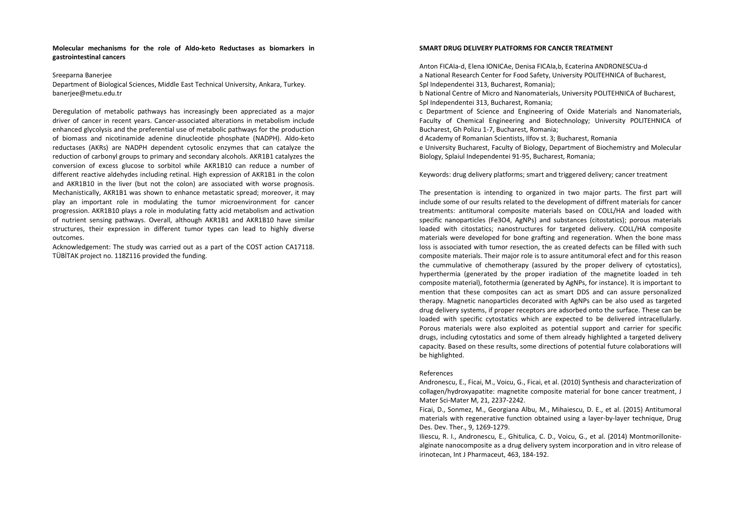### **Molecular mechanisms for the role of Aldo-keto Reductases as biomarkers in gastrointestinal cancers**

#### Sreeparna Banerjee

Department of Biological Sciences, Middle East Technical University, Ankara, Turkey. banerjee@metu.edu.tr

Deregulation of metabolic pathways has increasingly been appreciated as a major driver of cancer in recent years. Cancer-associated alterations in metabolism include enhanced glycolysis and the preferential use of metabolic pathways for the production of biomass and nicotinamide adenine dinucleotide phosphate (NADPH). Aldo-keto reductases (AKRs) are NADPH dependent cytosolic enzymes that can catalyze the reduction of carbonyl groups to primary and secondary alcohols. AKR1B1 catalyzes the conversion of excess glucose to sorbitol while AKR1B10 can reduce a number of different reactive aldehydes including retinal. High expression of AKR1B1 in the colon and AKR1B10 in the liver (but not the colon) are associated with worse prognosis. Mechanistically, AKR1B1 was shown to enhance metastatic spread; moreover, it may play an important role in modulating the tumor microenvironment for cancer progression. AKR1B10 plays a role in modulating fatty acid metabolism and activation of nutrient sensing pathways. Overall, although AKR1B1 and AKR1B10 have similar structures, their expression in different tumor types can lead to highly diverse outcomes.

Acknowledgement: The study was carried out as a part of the COST action CA17118. TÜBİTAK project no. 118Z116 provided the funding.

### **SMART DRUG DELIVERY PLATFORMS FOR CANCER TREATMENT**

Anton FICAIa-d, Elena IONICAe, Denisa FICAIa,b, Ecaterina ANDRONESCUa-d a National Research Center for Food Safety, University POLITEHNICA of Bucharest, Spl Independentei 313, Bucharest, Romania);

b National Centre of Micro and Nanomaterials, University POLITEHNICA of Bucharest, Spl Independentei 313, Bucharest, Romania;

c Department of Science and Engineering of Oxide Materials and Nanomaterials, Faculty of Chemical Engineering and Biotechnology; University POLITEHNICA of Bucharest, Gh Polizu 1-7, Bucharest, Romania;

d Academy of Romanian Scientists, Ilfov st. 3; Bucharest, Romania

 e University Bucharest, Faculty of Biology, Department of Biochemistry and Molecular Biology, Splaiul Independentei 91-95, Bucharest, Romania;

Keywords: drug delivery platforms; smart and triggered delivery; cancer treatment

The presentation is intending to organized in two major parts. The first part will include some of our results related to the development of diffrent materials for cancer treatments: antitumoral composite materials based on COLL/HA and loaded with specific nanoparticles (Fe3O4, AgNPs) and substances (citostatics); porous materials loaded with citostatics; nanostructures for targeted delivery. COLL/HA composite materials were developed for bone grafting and regeneration. When the bone mass loss is associated with tumor resection, the as created defects can be filled with such composite materials. Their major role is to assure antitumoral efect and for this reason the cummulative of chemotherapy (assured by the proper delivery of cytostatics), hyperthermia (generated by the proper iradiation of the magnetite loaded in teh composite material), fotothermia (generated by AgNPs, for instance). It is important to mention that these composites can act as smart DDS and can assure personalized therapy. Magnetic nanoparticles decorated with AgNPs can be also used as targeted drug delivery systems, if proper receptors are adsorbed onto the surface. These can be loaded with specific cytostatics which are expected to be delivered intracellularly. Porous materials were also exploited as potential support and carrier for specific drugs, including cytostatics and some of them already highlighted a targeted delivery capacity. Based on these results, some directions of potential future colaborations will be highlighted.

#### References

Andronescu, E., Ficai, M., Voicu, G., Ficai, et al. (2010) Synthesis and characterization of collagen/hydroxyapatite: magnetite composite material for bone cancer treatment, J Mater Sci-Mater M, 21, 2237-2242.

 Ficai, D., Sonmez, M., Georgiana Albu, M., Mihaiescu, D. E., et al. (2015) Antitumoral materials with regenerative function obtained using a layer-by-layer technique, Drug Des. Dev. Ther., 9, 1269-1279.

 Iliescu, R. I., Andronescu, E., Ghitulica, C. D., Voicu, G., et al. (2014) Montmorillonitealginate nanocomposite as a drug delivery system incorporation and in vitro release of irinotecan, Int J Pharmaceut, 463, 184-192.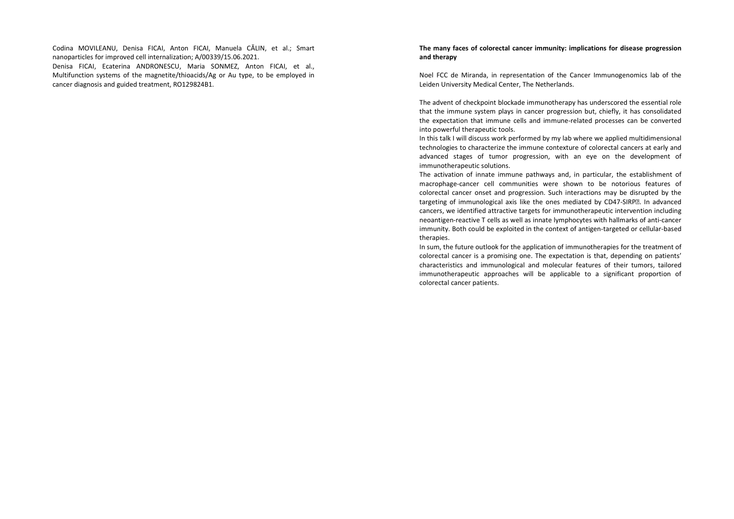Codina MOVILEANU, Denisa FICAI, Anton FICAI, Manuela CĂLIN, et al.; Smart nanoparticles for improved cell internalization; A/00339/15.06.2021.

 Denisa FICAI, Ecaterina ANDRONESCU, Maria SONMEZ, Anton FICAI, et al., Multifunction systems of the magnetite/thioacids/Ag or Au type, to be employed in cancer diagnosis and guided treatment, RO129824B1.

## **The many faces of colorectal cancer immunity: implications for disease progression and therapy**

Noel FCC de Miranda, in representation of the Cancer Immunogenomics lab of the Leiden University Medical Center, The Netherlands.

The advent of checkpoint blockade immunotherapy has underscored the essential role that the immune system plays in cancer progression but, chiefly, it has consolidated the expectation that immune cells and immune-related processes can be converted into powerful therapeutic tools.

In this talk I will discuss work performed by my lab where we applied multidimensional technologies to characterize the immune contexture of colorectal cancers at early and advanced stages of tumor progression, with an eye on the development of immunotherapeutic solutions.

The activation of innate immune pathways and, in particular, the establishment of macrophage-cancer cell communities were shown to be notorious features of colorectal cancer onset and progression. Such interactions may be disrupted by the targeting of immunological axis like the ones mediated by CD47-SIRP<sup>®</sup>. In advanced cancers, we identified attractive targets for immunotherapeutic intervention including neoantigen-reactive T cells as well as innate lymphocytes with hallmarks of anti-cancer immunity. Both could be exploited in the context of antigen-targeted or cellular-based therapies.

 In sum, the future outlook for the application of immunotherapies for the treatment of colorectal cancer is a promising one. The expectation is that, depending on patients' characteristics and immunological and molecular features of their tumors, tailored immunotherapeutic approaches will be applicable to a significant proportion of colorectal cancer patients.